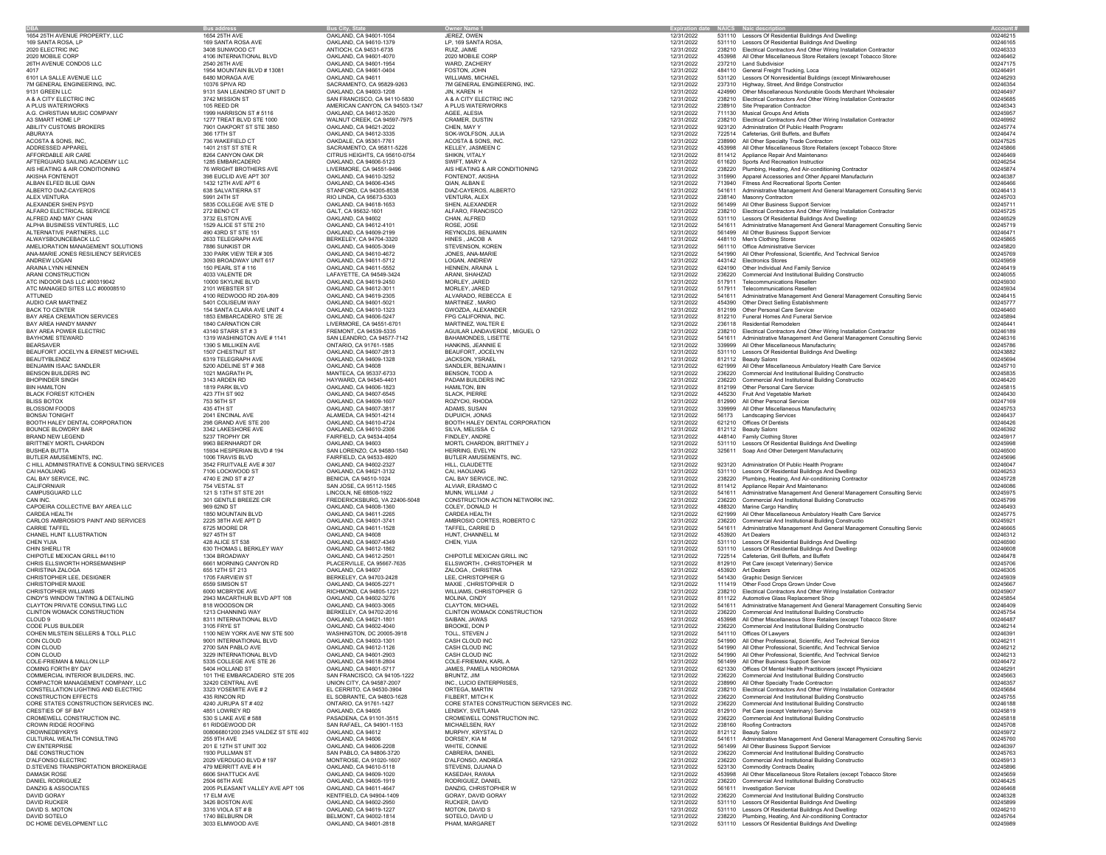|                                                            |                                                 | Bus City,                                              |                                            |                          | NAICS Naic de                                                                                                   |                      |
|------------------------------------------------------------|-------------------------------------------------|--------------------------------------------------------|--------------------------------------------|--------------------------|-----------------------------------------------------------------------------------------------------------------|----------------------|
| 1654 25TH AVENUE PROPERTY, LLC                             | 1654 25TH AVE                                   | OAKLAND, CA 94601-1054                                 | JEREZ, OWEN                                | 12/31/2022               | 531110 Lessors Of Residential Buildings And Dwellings                                                           | 00246215             |
| 169 SANTA ROSA, LP                                         | 169 SANTA ROSA AVE                              | OAKLAND, CA 94610-1379                                 | LP, 169 SANTA ROSA,                        | 12/31/2022               | 531110 Lessors Of Residential Buildings And Dwelling:                                                           | 00246165             |
| 2020 ELECTRIC INC                                          | 3408 SUNWOOD CT                                 | ANTIOCH, CA 94531-6735                                 | RUIZ JAIME                                 | 12/31/2022               | 238210 Electrical Contractors And Other Wiring Installation Contractor                                          | 00246333             |
| 2020 MOBILE CORP                                           | 4106 INTERNATIONAL BLVD                         | OAKLAND, CA 94601-4070                                 | 2020 MOBILE CORP                           | 12/31/2022               | 453998 All Other Miscellaneous Store Retailers (except Tobacco Store:                                           | 00246462             |
| 26TH AVENUE CONDOS LLC                                     | 2540 26TH AVE                                   | OAKLAND, CA 94601-1954                                 | WARD, ZACHERY                              | 12/31/2022               | 237210 Land Subdivision                                                                                         | 00247175             |
| 4017                                                       | 1954 MOUNTAIN BLVD #13081                       | OAKLAND, CA 94661-0404                                 | FOSTON, JOHN                               | 12/31/2022               | 484110 General Freight Trucking, Loca                                                                           | 0024649              |
| 6101 LA SALLE AVENUE LLC                                   | 6480 MORAGA AVE                                 | OAKLAND, CA 94611                                      | WILLIAMS, MICHAEL                          | 12/31/2022               | 531120 Lessors Of Nonresidential Buildings (except Miniwarehouses                                               | 00246293             |
| 7M GENERAL ENGINEERING, INC.                               | 10376 SPIVA RD                                  | SACRAMENTO, CA 95829-9263                              | 7M GENERAL ENGINEERING, INC.               | 12/31/2022               | 237310 Highway, Street, And Bridge Construction                                                                 | 00246354             |
| 9131 GREEN LLC                                             | 9131 SAN LEANDRO ST UNIT D                      | OAKLAND, CA 94603-1208                                 | JIN, KAREN H                               | 12/31/2022               | 424990 Other Miscellaneous Nondurable Goods Merchant Wholesaler                                                 | 00246497             |
| A & A CITY ELECTRIC INC                                    | 3742 MISSION ST                                 | SAN FRANCISCO, CA 94110-5830                           | A & A CITY ELECTRIC INC                    | 12/31/2022               | 238210 Electrical Contractors And Other Wiring Installation Contractor                                          | 00245685             |
| A PLUS WATERWORKS                                          | 105 REED DR                                     | AMERICAN CANYON, CA 94503-1347                         | A PLUS WATERWORKS                          | 12/31/2022               | 238910 Site Preparation Contractors                                                                             | 00246343             |
| A.G. CHRISTIAN MUSIC COMPANY                               | 1999 HARRISON ST # 5116                         | OAKLAND, CA 94612-3520                                 | AGEE, ALESIA                               | 12/31/2022               | 711130 Musical Groups And Artists                                                                               | 00245957             |
| A3 SMART HOME LP                                           | 1277 TREAT BLVD STE 1000                        | WALNUT CREEK, CA 94597-7975                            | CRAMER, DUSTIN                             | 12/31/2022               | 238210 Electrical Contractors And Other Wiring Installation Contractor                                          | 00246992             |
| ABILITY CUSTOMS BROKERS                                    | 7901 OAKPORT ST STE 3850                        | OAKLAND, CA 94621-2022                                 | CHEN, MAY Y                                | 12/31/2022               | 923120 Administration Of Public Health Programs                                                                 | 00245774             |
| ABURAYA                                                    | 366 17TH ST                                     | OAKLAND, CA 94612-3335                                 | SOK-WOLFSON, JULIA                         | 12/31/2022               | 722514 Cafeterias, Grill Buffets, and Buffets                                                                   | 00246474             |
| ACOSTA & SONS, INC.                                        | 736 WAKEFIELD CT                                | OAKDALE, CA 95361-7761                                 | ACOSTA & SONS, INC.                        | 12/31/2022               | 238990 All Other Specialty Trade Contractors                                                                    | 00247525             |
| ADDRESSED APPAREL                                          | 1401 21ST ST STE R                              | SACRAMENTO, CA 95811-5226                              | KELLEY, JASMEEN C                          | 12/31/2022               | 453998 All Other Miscellaneous Store Retailers (except Tobacco Store:                                           | 00245866             |
| AFFORDABLE AIR CARE                                        | 8264 CANYON OAK DR                              | CITRUS HEIGHTS, CA 95610-0754                          | SHIKIN, VITALY                             | 12/31/2022               | 811412 Appliance Repair And Maintenance                                                                         | 00246469             |
| AFTERGUARD SAILING ACADEMY LLC                             | 1285 EMBARCADERO                                | OAKLAND, CA 94606-5123                                 | SWIFT, MARY A                              | 12/31/2022               | 611620 Sports And Recreation Instruction                                                                        | 00246254             |
| AIS HEATING & AIR CONDITIONING                             | 76 WRIGHT BROTHERS AVE                          | LIVERMORE, CA 94551-9496                               | AIS HEATING & AIR CONDITIONING             | 12/31/2022               | 238220 Plumbing, Heating, And Air-conditioning Contractor                                                       | 00245874             |
| AKISHA FONTENOT                                            | 398 EUCLID AVE APT 307                          | OAKLAND, CA 94610-3252                                 | FONTENOT, AKISHA                           | 12/31/2022               | 315990 Apparel Accessories and Other Apparel Manufacturin                                                       | 00246387             |
| ALBAN ELFED BLUE QIAN                                      | 1432 12TH AVE APT 6                             | OAKLAND, CA 94606-4345                                 | QIAN, ALBAN E                              | 12/31/2022               | 713940 Fitness And Recreational Sports Center                                                                   | 00246466             |
| ALBERTO DIAZ-CAYEROS                                       | 638 SALVATIERRA ST                              | STANFORD, CA 94305-8538                                | DIAZ-CAYEROS, ALBERTO                      | 12/31/2022               | 541611 Administrative Management And General Management Consulting Servic                                       | 00246413             |
| ALEX VENTURA                                               | 5991 24TH ST                                    | RIO LINDA, CA 95673-5303                               | VENTURA, ALEX                              | 12/31/2022               | 238140 Masonry Contractors                                                                                      | 00245703             |
| ALEXANDER SHEN PSYD                                        | 5835 COLLEGE AVE STE D                          | OAKLAND, CA 94618-1653                                 | SHEN, ALEXANDER                            | 12/31/2022               | 561499 All Other Business Support Services                                                                      | 00245711             |
| ALFARO ELECTRICAL SERVICE                                  | 272 BENO CT                                     | GALT, CA 95632-1601                                    | ALFARO, FRANCISCO                          | 12/31/2022               | 238210 Electrical Contractors And Other Wiring Installation Contractor                                          | 00245725             |
| ALFRED AND MAY CHAN                                        | 3732 ELSTON AVE                                 | OAKLAND, CA 94602                                      | CHAN, ALFRED                               | 12/31/2022               | 531110 Lessors Of Residential Buildings And Dwelling:                                                           | 00246529             |
| ALPHA BUSINESS VENTURES. LLC                               | 1529 ALICE ST STE 210                           | OAKLAND, CA 94612-4101                                 | ROSE, JOSE                                 | 12/31/2022               | 541611 Administrative Management And General Management Consulting Servic                                       | 00245719             |
| ALTERNATIVE PARTNERS, LLC                                  | 490 43RD ST STE 151                             | OAKLAND, CA 94609-2199                                 | REYNOLDS, BENJAMIN                         | 12/31/2022               | 561499 All Other Business Support Services                                                                      | 0024647              |
| ALWAYSBOUNCEBACK LLC                                       | 2633 TELEGRAPH AVE                              | BERKELEY, CA 94704-3320                                | HINES, JACOB A                             | 12/31/2022               | 448110 Men's Clothing Stores                                                                                    | 00245865             |
| AMELIORATION MANAGEMENT SOLUTIONS                          | 7886 SUNKIST DR                                 | OAKLAND, CA 94605-3049                                 | STEVENSON, KOREN                           | 12/31/2022               | 561110 Office Administrative Services                                                                           | 00245820             |
| ANA-MARIE JONES RESILIENCY SERVICES                        | 330 PARK VIEW TER # 305                         | OAKLAND, CA 94610-4672                                 | JONES, ANA-MARIE                           | 12/31/2022               | 541990 All Other Professional, Scientific, And Technical Service                                                | 00245769             |
| ANDREW LOGAN                                               | 3093 BROADWAY UNIT 617                          | OAKLAND, CA 94611-5712                                 | LOGAN, ANDREW                              | 12/31/2022               | 443142 Electronics Stores                                                                                       | 00245959             |
| ARAINA LYNN HENNEN                                         | 150 PEARL ST #116                               | OAKLAND, CA 94611-5552                                 | HENNEN, ARAINA L                           | 12/31/2022               | 624190 Other Individual And Family Service                                                                      | 00246419             |
| ARANI CONSTRUCTION                                         | 4033 VALENTE DR                                 | LAFAYETTE, CA 94549-3424                               | ARANI, SHAHZAD                             | 12/31/2022               | 236220 Commercial And Institutional Building Constructio                                                        | 00246055             |
| ATC INDOOR DAS LLC #00319042                               | 10000 SKYLINE BLVD                              | OAKLAND, CA 94619-2450                                 | MORLEY, JARED                              | 12/31/2022               | 517911 Telecommunications Resellers                                                                             | 00245930             |
| ATC MANAGED SITES LLC #00008510                            | 2101 WEBSTER ST                                 | OAKLAND, CA 94612-3011<br>OAKLAND, CA 94619-2305       | MORLEY, JARED<br>ALVARADO, REBECCA E       | 12/31/2022<br>12/31/2022 | 517911 Telecommunications Reseller<br>541611 Administrative Management And General Management Consulting Servic | 00245934<br>00246415 |
| ATTUNED                                                    | 4100 REDWOOD RD 20A-809                         |                                                        |                                            |                          |                                                                                                                 |                      |
| AUDIO CAR MARTINEZ<br><b>BACK TO CENTER</b>                | 5401 COLISEUM WAY<br>154 SANTA CLARA AVE UNIT 4 | OAKLAND, CA 94601-5021                                 | MARTINEZ, MARIO                            | 12/31/2022               | 454390 Other Direct Selling Establishments                                                                      | 00245777<br>00246460 |
|                                                            |                                                 | OAKLAND, CA 94610-1323                                 | GWOZDA, ALEXANDER                          | 12/31/2022               | 812199 Other Personal Care Services                                                                             |                      |
| BAY AREA CREMATION SERVICES<br><b>BAY AREA HANDY MANNY</b> | 1853 EMBARCADERO STE 2E                         | OAKLAND, CA 94606-5247                                 | FPG CALIFORNIA, INC.                       | 12/31/2022               | 812210 Funeral Homes And Funeral Service:                                                                       | 00245894             |
|                                                            | 1840 CARNATION CIR                              | LIVERMORE, CA 94551-6701                               | MARTINEZ, WALTER E                         | 12/31/2022               | 236118 Residential Remodeler                                                                                    | 00246441             |
| BAY AREA POWER ELECTRIC                                    | 43140 STARR ST # 3                              | FREMONT, CA 94539-5335                                 | AGUILAR LANDAVERDE, MIGUEL O               | 12/31/2022               | 238210 Electrical Contractors And Other Wiring Installation Contractor                                          | 00246189             |
| BAYHOME STEWARD                                            | 1319 WASHINGTON AVE # 1141                      | SAN LEANDRO, CA 94577-7142                             | BAHAMONDES, LISETTE                        | 12/31/2022               | 541611 Administrative Management And General Management Consulting Servic                                       | 00246316             |
| <b>BEARSAVER</b>                                           | 1390 S MILLIKEN AVE                             | ONTARIO, CA 91761-1585                                 | HANKINS, JEANNIE E                         | 12/31/2022               | 339999 All Other Miscellaneous Manufacturin                                                                     | 00245786             |
| BEAUFORT JOCELYN & ERNEST MICHAEL                          | 1507 CHESTNUT ST                                | OAKLAND, CA 94607-2813                                 | BEAUFORT, JOCELYN                          | 12/31/2022               | 531110 Lessors Of Residential Buildings And Dwelling:                                                           | 00243882             |
| <b>BEAUTYBLENDZ</b>                                        | 6319 TELEGRAPH AVE                              | OAKLAND, CA 94609-1328                                 | JACKSON, YSRAEL                            | 12/31/2022               | 812112 Beauty Salons                                                                                            | 00245694             |
| BENJAMIN ISAAC SANDLER                                     | 5200 ADELINE ST #368                            | OAKLAND, CA 94608                                      | SANDLER, BENJAMIN I                        | 12/31/2022               | 621999 All Other Miscellaneous Ambulatory Health Care Service                                                   | 00245710             |
| BENSON BUILDERS INC                                        | 1021 MAGRATH PL                                 | MANTECA, CA 95337-6733                                 | BENSON, TODD A                             | 12/31/2022               | 236220 Commercial And Institutional Building Constructio                                                        | 00245835             |
| <b>BHOPINDER SINGH</b>                                     | 3143 ARDEN RD                                   | HAYWARD, CA 94545-4401                                 | PADAM BUILDERS INC                         | 12/31/2022               | 236220 Commercial And Institutional Building Constructio                                                        | 00246420             |
| <b>BIN HAMILTON</b>                                        | 1819 PARK BLVD                                  | OAKLAND, CA 94606-1823                                 | HAMILTON, BIN                              | 12/31/2022               | 812199 Other Personal Care Services                                                                             | 00245815             |
| <b>BLACK FOREST KITCHEN</b>                                | 423 7TH ST 902                                  | OAKLAND, CA 94607-6545                                 | <b>SLACK, PIERRE</b>                       | 12/31/2022               | 445230 Fruit And Vegetable Market:                                                                              | 00246430<br>00247169 |
| <b>BLISS BOTOX</b><br><b>BLOSSOM FOODS</b>                 | 753 56TH ST                                     | OAKLAND, CA 94609-1607                                 | ROZYCKI, RHODA                             | 12/31/2022               | 812990 All Other Personal Services<br>339999 All Other Miscellaneous Manufacturing                              |                      |
|                                                            | 435 4TH ST                                      | OAKLAND, CA 94607-3817                                 | ADAMS, SUSAN<br>DUPUICH, JONAS             | 12/31/2022               |                                                                                                                 | 00245753             |
| <b>BONSAI TONIGHT</b>                                      | 2041 ENCINAL AVE                                | ALAMEDA, CA 94501-4214                                 |                                            | 12/31/2022               | 56173 Landscaping Services                                                                                      | 00246437             |
| BOOTH HALEY DENTAL CORPORATION                             | 298 GRAND AVE STE 200                           | OAKLAND, CA 94610-4724                                 | BOOTH HALEY DENTAL CORPORATION             | 12/31/2022               | 621210 Offices Of Dentists                                                                                      | 00246426             |
| <b>BOUNCE BLOWDRY BAR</b>                                  | 3342 LAKESHORE AVE                              | OAKLAND, CA 94610-2306                                 | SILVA, MELISSA C                           | 12/31/2022               | 812112 Beauty Salons                                                                                            | 00246392             |
| <b>BRAND NEW LEGEND</b>                                    | 5237 TROPHY DR                                  | FAIRFIELD, CA 94534-4054                               | FINDLEY, ANDRE                             | 12/31/2022               | 448140 Family Clothing Stores                                                                                   | 00245917             |
| BRITTNEY MORTL CHARDON                                     | 9963 BERNHARDT DR                               | OAKLAND, CA 94603                                      | MORTL CHARDON, BRITTNEY J                  | 12/31/2022               | 531110 Lessors Of Residential Buildings And Dwelling:                                                           | 00245998<br>00246500 |
| <b>BUSHEA BUTTA</b><br>BUTLER AMUSEMENTS, INC.             | 15934 HESPERIAN BLVD # 194<br>1006 TRAVIS BLVD  | SAN LORENZO, CA 94580-1540<br>FAIRFIELD, CA 94533-4920 | HERRING, EVELYN<br>BUTLER AMUSEMENTS, INC. | 12/31/2022<br>12/31/2022 | 325611 Soap And Other Detergent Manufacturing                                                                   | 00245696             |
| C HILL ADMINISTRATIVE & CONSULTING SERVICES                |                                                 |                                                        |                                            | 12/31/2022               |                                                                                                                 | 00246047             |
| CAI HAOLIANG                                               | 3542 FRUITVALE AVE #307<br>7106 LOCKWOOD ST     | OAKLAND, CA 94602-2327<br>OAKLAND, CA 94621-3132       | HILL, CLAUDETTE<br>CAI, HAOLIANG           | 12/31/2022               | 923120 Administration Of Public Health Program:<br>531110 Lessors Of Residential Buildings And Dwellings        | 00246253             |
| CAL BAY SERVICE, INC.                                      | 4740 E 2ND ST # 27                              | BENICIA, CA 94510-1024                                 | CAL BAY SERVICE, INC.                      | 12/31/2022               |                                                                                                                 | 00245728             |
| CALIFORNIAIR                                               | 754 VESTAL ST                                   | SAN JOSE, CA 95112-1565                                | ALVIAR, ERASMO C                           | 12/31/2022               | 238220 Plumbing, Heating, And Air-conditioning Contractor<br>811412 Appliance Repair And Maintenance            | 00246086             |
| CAMPUSGUARD LLC                                            | 121 S 13TH ST STE 201                           | LINCOLN, NE 68508-1922                                 | MUNN, WILLIAM J                            | 12/31/2022               | 541611 Administrative Management And General Management Consulting Servic                                       | 00245975             |
| CAN INC.                                                   | 301 GENTLE BREEZE CIR                           | FREDERICKSBURG, VA 22406-5048                          | CONSTRUCTION ACTION NETWORK INC.           | 12/31/2022               | 236220 Commercial And Institutional Building Constructio                                                        | 00245799             |
| CAPOEIRA COLLECTIVE BAY AREA LLC                           | 969 62ND ST                                     | OAKLAND, CA 94608-1360                                 | COLEY, DONALD H                            | 12/31/2022               | 488320 Marine Cargo Handling                                                                                    | 00246493             |
| CARDEA HEALTH                                              | 1850 MOUNTAIN BLVD                              | OAKLAND, CA 94611-2265                                 | CARDEA HEALTH                              | 12/31/2022               | 621999 All Other Miscellaneous Ambulatory Health Care Service                                                   | 00245775             |
| CARLOS AMBROSIO'S PAINT AND SERVICES                       | 2225 38TH AVE APT D                             | OAKLAND, CA 94601-3741                                 | AMBROSIO CORTES, ROBERTO C                 | 12/31/2022               | 236220 Commercial And Institutional Building Constructio                                                        | 0024592              |
| CARRIE TAFFEL                                              | 6725 MOORE DR                                   | OAKLAND, CA 94611-1528                                 | TAFFEL, CARRIE D                           | 12/31/2022               | 541611 Administrative Management And General Management Consulting Servic                                       | 00246665             |
| CHANEL HUNT ILLUSTRATION                                   | 927 45TH ST                                     | OAKLAND, CA 94608                                      | HUNT, CHANNELL M                           | 12/31/2022               | 453920 Art Dealers                                                                                              | 00246312             |
| CHEN YIJIA                                                 | 428 ALICE ST 538                                | OAKLAND, CA 94607-4349                                 | CHEN, YIJIA                                | 12/31/2022               | 531110 Lessors Of Residential Buildings And Dwelling:                                                           | 00246590             |
| CHIN SHERLI TR                                             | 630 THOMAS L BERKLEY WAY                        | OAKLAND, CA 94612-1862                                 |                                            | 12/31/2022               | 531110 Lessors Of Residential Buildings And Dwelling:                                                           | 00246608             |
| CHIPOTLE MEXICAN GRILL #4110                               | 1304 BROADWAY                                   | OAKLAND, CA 94612-2501                                 | CHIPOTLE MEXICAN GRILL INC                 | 12/31/2022               | 722514 Cafeterias, Grill Buffets, and Buffets                                                                   | 00246478             |
| CHRIS ELLSWORTH HORSEMANSHIP                               | 6661 MORNING CANYON RD                          | PLACERVILLE, CA 95667-7635                             | ELLSWORTH, CHRISTOPHER M                   | 12/31/2022               | 812910 Pet Care (except Veterinary) Service                                                                     | 00245706             |
| CHRISTINA ZALOGA                                           | 655 12TH ST 213                                 | OAKLAND, CA 94607                                      | ZALOGA, CHRISTINA                          | 12/31/2022               | 453920 Art Dealers                                                                                              | 00246305             |
| CHRISTOPHER LEE, DESIGNER                                  | 1705 FAIRVIEW ST                                | BERKELEY, CA 94703-2428                                | LEE, CHRISTOPHER G                         | 12/31/2022               | 541430 Graphic Design Services                                                                                  | 00245939             |
| CHRISTOPHER MAXIE                                          | 6559 SIMSON ST                                  | OAKLAND, CA 94605-2271                                 | MAXIE, CHRISTOPHER D                       | 12/31/2022               | 111419 Other Food Crops Grown Under Cove                                                                        | 00245667             |
| CHRISTOPHER WILLIAMS                                       | 6000 MCBRYDE AVE                                | RICHMOND, CA 94805-1221                                | WILLIAMS, CHRISTOPHER G                    | 12/31/2022               | 238210 Electrical Contractors And Other Wiring Installation Contractor                                          | 00245907             |
| CINDY'S WINDOW TINTING & DETAILING                         | 2943 MACARTHUR BLVD APT 108                     | OAKLAND, CA 94602-3276                                 | MOLINA, CINDY                              | 12/31/2022               | 811122 Automotive Glass Replacement Shop                                                                        | 00245854             |
| CLAYTON PRIVATE CONSULTING LLC                             | 818 WOODSON DR                                  | OAKLAND, CA 94603-3065                                 | CLAYTON, MICHAEL                           | 12/31/2022               | 541611 Administrative Management And General Management Consulting Servic                                       | 00246409             |
| CLINTON WOMACK CONSTRUCTION                                | 1213 CHANNING WAY                               | BERKELEY, CA 94702-2016                                | CLINTON WOMACK CONSTRUCTION                | 12/31/2022               | 236220 Commercial And Institutional Building Constructio                                                        | 00245754             |
| CLOUD 9                                                    | 8311 INTERNATIONAL BLVD                         | OAKLAND, CA 94621-1801                                 | SAIBAN, JAWAS                              | 12/31/2022               | 453998 All Other Miscellaneous Store Retailers (except Tobacco Store:                                           | 00246487             |
| CODE PLUS BUILDER                                          | 3105 FRYE ST                                    | OAKLAND, CA 94602-4040                                 | BROOKE, DON P                              | 12/31/2022               | 236220 Commercial And Institutional Building Constructio                                                        | 00246214             |
| COHEN MILSTEIN SELLERS & TOLL PLLC                         | 1100 NEW YORK AVE NW STE 500                    | WASHINGTON, DC 20005-3918                              | TOLL, STEVEN J                             | 12/31/2022               | 541110 Offices Of Lawvers                                                                                       | 0024639              |
| COIN CLOUD                                                 | 9001 INTERNATIONAL BLVD                         | OAKLAND, CA 94603-1301                                 | CASH CLOUD INC                             | 12/31/2022               | 541990 All Other Professional, Scientific, And Technical Service                                                | 0024621              |
| COIN CLOUD                                                 | 2700 SAN PABLO AVE                              | OAKLAND, CA 94612-1126                                 | CASH CLOUD INC                             | 12/31/2022               | 541990 All Other Professional, Scientific, And Technical Service                                                | 00246212             |
| COIN CLOUD                                                 | 3229 INTERNATIONAL BLVD                         | OAKLAND, CA 94601-2903                                 | CASH CLOUD INC                             | 12/31/2022               | 541990 All Other Professional, Scientific, And Technical Service                                                | 00246213             |
| COLE-FRIEMAN & MALLON LLP                                  | 5335 COLLEGE AVE STE 26                         | OAKLAND, CA 94618-2804                                 | COLE-FRIEMAN, KARL A                       | 12/31/2022               | 561499 All Other Business Support Services                                                                      | 00246472             |
| COMING FORTH BY DAY                                        | 5404 HOLLAND ST                                 | OAKLAND, CA 94601-5717                                 | JAMES, PAMELA NSOROMA                      | 12/31/2022               | 621330 Offices Of Mental Health Practitioners (except Physicians                                                | 00246291             |
| COMMERCIAL INTERIOR BUILDERS, INC.                         | 101 THE EMBARCADERO STE 205                     | SAN FRANCISCO, CA 94105-1222                           | BRUNTZ, JIM                                | 12/31/2022               | 236220 Commercial And Institutional Building Constructio                                                        | 00245663             |
| COMPACTOR MANAGEMENT COMPANY, LLC                          | 32420 CENTRAL AVE                               | UNION CITY, CA 94587-2007                              | INC., LUCIO ENTERPRISES,                   | 12/31/2022               | 238990 All Other Specialty Trade Contractor:                                                                    | 00246357             |
| CONSTELLATION LIGHTING AND ELECTRIC                        | 3323 YOSEMITE AVE # 2                           | EL CERRITO, CA 94530-3904                              | ORTEGA, MARTIN                             | 12/31/2022               | 238210 Electrical Contractors And Other Wiring Installation Contractor                                          | 00245684             |
| <b>CONSTRUCTION EFFECTS</b>                                | 435 RINCON RD                                   | EL SOBRANTE, CA 94803-1628                             | FILBERT, MITCH K                           | 12/31/2022               | 236220 Commercial And Institutional Building Constructio                                                        | 00245755             |
| CORE STATES CONSTRUCTION SERVICES INC.                     | 4240 JURUPA ST #402                             | ONTARIO, CA 91761-1427                                 | CORE STATES CONSTRUCTION SERVICES INC.     | 12/31/2022               | 236220 Commercial And Institutional Building Constructio                                                        | 00246188             |
| CRESTIES OF SF BAY                                         | 4851 LOWREY RD                                  | OAKLAND, CA 94605                                      | LENSKY, SVETLANA                           | 12/31/2022               | 812910 Pet Care (except Veterinary) Service                                                                     | 00245819             |
| CROMEWELL CONSTRUCTION INC.                                | 530 S LAKE AVE # 588                            | PASADENA, CA 91101-3515                                | CROMEWELL CONSTRUCTION INC.                | 12/31/2022               | 236220 Commercial And Institutional Building Constructio                                                        | 00245818             |
| CROWN RIDGE ROOFING                                        | 61 RIDGEWOOD DR                                 | SAN RAFAEL, CA 94901-1153                              | MICHAELSEN, RAY                            | 12/31/2022               | 238160 Roofing Contractors                                                                                      | 00245708             |
| <b>CROWNEDBYKRYS</b>                                       | 008066801200 2345 VALDEZ ST STE 402             | OAKLAND, CA 94612                                      | MURPHY, KRYSTAL D                          | 12/31/2022               | 812112 Beauty Salons                                                                                            | 00245972             |
| CULTURAL WEALTH CONSULTING                                 | 255 9TH AVE                                     | OAKLAND, CA 94606                                      | DORSEY, KIA M                              | 12/31/2022               | 541611 Administrative Management And General Management Consulting Servic                                       | 00245760             |
| <b>CW ENTERPRISE</b>                                       | 201 E 12TH ST UNIT 302                          | OAKLAND, CA 94606-2208                                 | WHITE, CONNIE                              | 12/31/2022               | 561499 All Other Business Support Services                                                                      | 00246397             |
| D&E CONSTRUCTION                                           | 1930 PULLMAN ST                                 | SAN PABLO, CA 94806-3720                               | CABRERA, DANIEL                            | 12/31/2022               | 236220 Commercial And Institutional Building Constructio                                                        | 00245763             |
| <b>D'ALFONSO ELECTRIC</b>                                  | 2029 VERDUGO BLVD # 197                         | MONTROSE, CA 91020-1607                                | D'ALFONSO, ANDREA                          | 12/31/2022               | 236220 Commercial And Institutional Building Constructio                                                        | 00245913             |
| D.STEVENS TRANSPORTATION BROKERAGE                         | 479 MERRITT AVE # H                             | OAKLAND, CA 94610-5118                                 | STEVENS, DJUANA D                          | 12/31/2022               | 523130 Commodity Contracts Dealing                                                                              | 00245896             |
| <b>DAMASK ROSE</b>                                         | 6606 SHATTUCK AVE                               | OAKLAND, CA 94609-1020                                 | KASFDAH RAWAA                              | 12/31/2022               | 453998 All Other Miscellaneous Store Retailers (except Tobacco Store:                                           | 00245659             |
| DANIEL RODRIGUEZ                                           | 2504 66TH AVE                                   | OAKLAND, CA 94605-1919                                 | RODRIGUEZ, DANIEL                          | 12/31/2022               | 236220 Commercial And Institutional Building Constructio                                                        | 00246425             |
| DANZIG & ASSOCIATES                                        | 2005 PLEASANT VALLEY AVE APT 106                | OAKLAND, CA 94611-4647                                 | DANZIG, CHRISTOPHER W                      | 12/31/2022               | 561611 Investigation Services                                                                                   | 00246468             |
| DAVID GORAY                                                | 17 ELM AVE                                      | KENTFIELD, CA 94904-1409                               | GORAY, DAVID GORAY                         | 12/31/2022               | 236220 Commercial And Institutional Building Constructio                                                        | 00246328             |
| <b>DAVID RUCKER</b>                                        | 3426 BOSTON AVE                                 | OAKLAND, CA 94602-2950                                 | RUCKER, DAVID                              | 12/31/2022               | 531110 Lessors Of Residential Buildings And Dwelling:                                                           | 00245899             |
| DAVID S. MOTON                                             | 3316 VIOLA ST # B                               | OAKLAND, CA 94619-1227                                 | MOTON, DAVID S                             | 12/31/2022               | 531110 Lessors Of Residential Buildings And Dwelling:                                                           | 00246210             |
| DAVID SOTELO                                               | 1740 BELBURN DR                                 | BELMONT, CA 94002-1814                                 | SOTELO, DAVID U                            | 12/31/2022               | 238220 Plumbing, Heating, And Air-conditioning Contractor                                                       | 00245764             |
| DC HOME DEVELOPMENT LLC                                    | 3033 ELMWOOD AVE                                | OAKLAND, CA 94601-2818                                 | PHAM, MARGARET                             | 12/31/2022               | 531110 Lessors Of Residential Buildings And Dwelling:                                                           | 00245989             |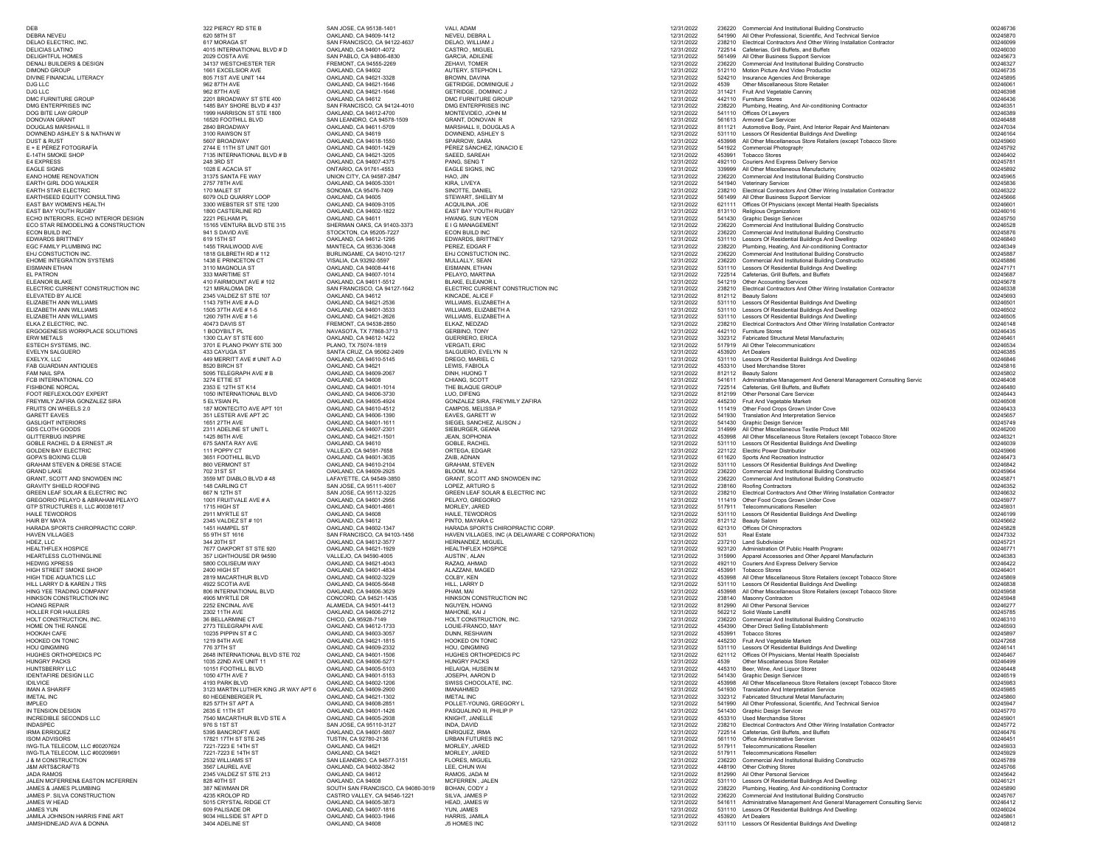| DEB                                                                  | 322 PIERCY RD STE B                              | SAN JOSE, CA 95138-1401                                | VALI, ADAM                                                          | 12/31/2022               |        | 236220 Commercial And Institutional Building Constructio                                                                              | 00246736             |
|----------------------------------------------------------------------|--------------------------------------------------|--------------------------------------------------------|---------------------------------------------------------------------|--------------------------|--------|---------------------------------------------------------------------------------------------------------------------------------------|----------------------|
| DEBRA NEVEU                                                          | 620 58TH ST                                      | OAKLAND, CA 94609-1412                                 | NEVEU, DEBRA L                                                      | 12/31/2022               |        | 541990 All Other Professional, Scientific, And Technical Service                                                                      | 00245870             |
| DELAO ELECTRIC. INC.                                                 | 617 MORAGA ST                                    | SAN FRANCISCO, CA 94122-4637                           | DELAO, WILLIAM J                                                    | 12/31/2022               |        | 238210 Electrical Contractors And Other Wiring Installation Contractor                                                                | 00246099             |
| DELICIAS LATINO<br><b>DELIGHTFUL HOMES</b>                           | 4015 INTERNATIONAL BLVD # D<br>2029 COSTA AVE    | OAKLAND, CA 94601-4072<br>SAN PABLO, CA 94806-4830     | CASTRO, MIGUEL<br>GARCIA, ADILENE                                   | 12/31/2022<br>12/31/2022 |        | 722514 Cafeterias, Grill Buffets, and Buffets<br>561499 All Other Business Support Services                                           | 00246030<br>00245673 |
| DENALI BUILDERS & DESIGN                                             | 34137 WESTCHESTER TER                            | FREMONT, CA 94555-2269                                 | ZEHAVI, TOMER                                                       | 12/31/2022               |        | 236220 Commercial And Institutional Building Constructio                                                                              | 00246327             |
| <b>DIMOND GROUP</b>                                                  | 1661 EXCELSIOR AVE                               | OAKLAND, CA 94602                                      | AUTERY, STEPHON L                                                   | 12/31/2022               |        | 512110 Motion Picture And Video Production                                                                                            | 00246735             |
| DIVINE FINANCIAL LITERACY                                            | 805 71ST AVE UNIT 144                            | OAKLAND, CA 94621-3328                                 | BROWN, DAVINA                                                       | 12/31/2022               | 4539   | 524210 Insurance Agencies And Brokerage:                                                                                              | 00245895<br>00246061 |
| DJG LLC<br>DJG LLC                                                   | 962 87TH AVE<br>962 87TH AVE                     | OAKLAND, CA 94621-1646<br>OAKLAND, CA 94621-1646       | GETRIDGE, DOMINIQUE J<br>GETRIDGE, DOMINIC J                        | 12/31/2022<br>12/31/2022 |        | Other Miscellaneous Store Retailer<br>311421 Fruit And Vegetable Canning                                                              | 00246398             |
| DMC FURNITURE GROUP                                                  | 2201 BROADWAY ST STE 400                         | OAKLAND, CA 94612                                      | DMC FURNITURE GROUP                                                 | 12/31/2022               |        | 442110 Furniture Stores                                                                                                               | 00246436             |
| DMG ENTERPRISES INC                                                  | 1485 BAY SHORE BLVD #437                         | SAN FRANCISCO, CA 94124-4010                           | DMG ENTERPRISES INC                                                 | 12/31/2022               |        | 238220 Plumbing, Heating, And Air-conditioning Contractor                                                                             | 00246351             |
| DOG BITE LAW GROUP<br>DONOVAN GRANT                                  | 1999 HARRISON ST STE 1800<br>16520 FOOTHILL BLVD | OAKLAND, CA 94612-4700<br>SAN LEANDRO, CA 94578-1509   | MONTEVIDEO, JOHN M<br>GRANT, DONOVAN R                              | 12/31/2022<br>12/31/2022 |        | 541110 Offices Of Lawyers<br>561613 Armored Car Services                                                                              | 00246389<br>00246488 |
| DOUGLAS MARSHALL II                                                  | 2840 BROADWAY                                    | OAKLAND, CA 94611-5709                                 | MARSHALL II, DOUGLAS A                                              | 12/31/2022               |        | 811121 Automotive Body, Paint, And Interior Repair And Maintenano                                                                     | 00247034             |
| DOWNEND ASHLEY S & NATHAN W                                          | 3100 RAWSON ST                                   | OAKLAND, CA 94619                                      | DOWNEND, ASHLEY S                                                   | 12/31/2022               |        | 531110 Lessors Of Residential Buildings And Dwelling:                                                                                 | 00246164             |
| <b>DUST &amp; RUST</b><br>E + E PÉREZ FOTOGRAFÍA                     | 5607 BROADWAY<br>2744 E 11TH ST UNIT G01         | OAKLAND, CA 94618-1550<br>OAKLAND, CA 94601-1429       | SPARROW, SARA<br>PÉREZ SÁNCHEZ, IGNACIO E                           | 12/31/2022<br>12/31/2022 | 541922 | 453998 All Other Miscellaneous Store Retailers (except Tobacco Store:<br>Commercial Photography                                       | 00245960<br>00245792 |
| E-14TH SMOKE SHOP                                                    | 7135 INTERNATIONAL BLVD # B                      | OAKLAND, CA 94621-3205                                 | SAEED, SAREAH                                                       | 12/31/2022               |        | 453991 Tobacco Stores                                                                                                                 | 00246402             |
| E4 EXPRESS                                                           | 248 3RD ST                                       | OAKLAND, CA 94607-4375                                 | PANG, SENG T                                                        | 12/31/2022               |        | 492110 Couriers And Express Delivery Service                                                                                          | 00245781             |
| <b>EAGLE SIGNS</b><br>EANO HOME RENOVATION                           | 1028 E ACACIA ST                                 | ONTARIO. CA 91761-4553<br>UNION CITY, CA 94587-2847    | EAGLE SIGNS, INC                                                    | 12/31/2022               | 339999 | All Other Miscellaneous Manufacturing                                                                                                 | 00245892<br>00245965 |
| EARTH GIRL DOG WALKER                                                | 31375 SANTA FE WAY<br>2757 78TH AVE              | OAKLAND, CA 94605-3301                                 | HAO, JIN<br>KIRA, LIVEYA                                            | 12/31/2022<br>12/31/2022 |        | 236220 Commercial And Institutional Building Constructio<br>541940 Veterinary Services                                                | 00245836             |
| EARTH STAR ELECTRIC                                                  | 170 MALET ST                                     | SONOMA, CA 95476-7409                                  | SINOTTE, DANIEL                                                     | 12/31/2022               |        | 238210 Electrical Contractors And Other Wiring Installation Contractor                                                                | 00246322             |
| EARTHSEED EQUITY CONSULTING                                          | 6079 OLD QUARRY LOOP                             | OAKLAND, CA 94605                                      | STEWART, SHELBY M                                                   | 12/31/2022               |        | 561499 All Other Business Support Services                                                                                            | 00245666             |
| EAST BAY WOMEN'S HEALTH<br>EAST BAY YOUTH RUGBY                      | 3300 WEBSTER ST STE 1200<br>1800 CASTERLINE RD   | OAKLAND, CA 94609-3105<br>OAKLAND, CA 94602-1822       | ACQUILINA, JOE<br>EAST BAY YOUTH RUGBY                              | 12/31/2022<br>12/31/2022 |        | 621111 Offices Of Physicians (except Mental Health Specialists<br>813110 Religious Organizations                                      | 00246601<br>00246016 |
| ECHO INTERIORS, ECHO INTERIOR DESIGN                                 | 2221 PELHAM PL                                   | OAKLAND, CA 94611                                      | <b>HWANG, SUN YEON</b>                                              | 12/31/2022               |        | 541430 Graphic Design Services                                                                                                        | 00245750             |
| ECO STAR REMODELING & CONSTRUCTION                                   | 15165 VENTURA BLVD STE 315                       | SHERMAN OAKS, CA 91403-3373                            | E I G MANAGEMENT                                                    | 12/31/2022               |        | 236220 Commercial And Institutional Building Constructio                                                                              | 00246528             |
| ECON BUILD INC                                                       | 941 S DAVID AVE<br>619 15TH ST                   | STOCKTON, CA 95205-7227                                | ECON BUILD INC                                                      | 12/31/2022               |        | 236220 Commercial And Institutional Building Constructio                                                                              | 00245876<br>00246840 |
| <b>EDWARDS BRITTNEY</b><br>EGC FAMILY PLUMBING INC                   | 1455 TRAILWOOD AVE                               | OAKLAND, CA 94612-1295<br>MANTECA, CA 95336-3048       | EDWARDS, BRITTNEY<br>PEREZ, EDGAR F                                 | 12/31/2022<br>12/31/2022 |        | 531110 Lessors Of Residential Buildings And Dwelling:<br>238220 Plumbing, Heating, And Air-conditioning Contractor                    | 00246349             |
| EHJ CONSTUCTION INC.                                                 | 1818 GILBRETH RD # 112                           | BURLINGAME, CA 94010-1217                              | EHJ CONSTUCTION INC.                                                | 12/31/2022               |        | 236220 Commercial And Institutional Building Constructio                                                                              | 00245887             |
| EHOME INTEGRATION SYSTEMS                                            | 1438 E PRINCETON CT                              | VISALIA, CA 93292-5597                                 | MULLALLY, SEAN                                                      | 12/31/2022               |        | 236220 Commercial And Institutional Building Constructio                                                                              | 00245886             |
| <b>EISMANN ETHAN</b><br>EL PATRON                                    | 3110 MAGNOLIA ST<br>333 MARITIME ST              | OAKLAND, CA 94608-4416<br>OAKLAND, CA 94607-1014       | EISMANN, ETHAN<br>PELAYO, MARTINA                                   | 12/31/2022<br>12/31/2022 |        | 531110 Lessors Of Residential Buildings And Dwelling:<br>722514 Cafeterias, Grill Buffets, and Buffets                                | 00247171<br>00245687 |
| ELEANOR BLAKE                                                        | 410 FAIRMOUNT AVE #102                           | OAKLAND, CA 94611-5512                                 | <b>BLAKE, ELEANOR L</b>                                             | 12/31/2022               |        | 541219 Other Accounting Services                                                                                                      | 00245678             |
| ELECTRIC CURRENT CONSTRUCTION INC                                    | 121 MIRALOMA DR                                  | SAN FRANCISCO, CA 94127-1642                           | ELECTRIC CURRENT CONSTRUCTION INC                                   | 12/31/2022               |        | 238210 Electrical Contractors And Other Wiring Installation Contractor                                                                | 00246338             |
| FLEVATED BY ALICE<br>ELIZABETH ANN WILLIAMS                          | 2345 VALDEZ ST STE 107<br>1143 79TH AVE # A-D    | OAKLAND, CA 94612<br>OAKLAND, CA 94621-2536            | KINCADE, ALICE F<br>WILLIAMS, ELIZABETH A                           | 12/31/2022<br>12/31/2022 |        | 812112 Beauty Salons<br>531110 Lessors Of Residential Buildings And Dwelling:                                                         | 00245693<br>00246501 |
| ELIZABETH ANN WILLIAMS                                               | 1505 37TH AVE # 1-5                              | OAKLAND, CA 94601-3533                                 | WILLIAMS, ELIZABETH A                                               | 12/31/2022               |        | 531110 Lessors Of Residential Buildings And Dwelling:                                                                                 | 00246502             |
| ELIZABETH ANN WILLIAMS                                               | 1260 79TH AVE #1-6                               | OAKLAND, CA 94621-2626                                 | WILLIAMS, ELIZABETH A                                               | 12/31/2022               |        | 531110 Lessors Of Residential Buildings And Dwelling:                                                                                 | 00246505             |
| ELKA Z ELECTRIC, INC.<br>ERGOGENESIS WORKPLACE SOLUTIONS             | <b>40473 DAVIS ST</b><br>1 BODYBILT PL           | FREMONT, CA 94538-2850<br>NAVASOTA, TX 77868-3713      | ELKAZ, NEDZAD<br><b>GERBINO, TONY</b>                               | 12/31/2022<br>12/31/2022 |        | 238210 Electrical Contractors And Other Wiring Installation Contractor<br>442110 Furniture Stores                                     | 00246148<br>00246435 |
| ERW METALS                                                           | 1300 CLAY ST STE 600                             | OAKLAND, CA 94612-1422                                 | GUERRERO, ERICA                                                     | 12/31/2022               |        | 332312 Fabricated Structural Metal Manufacturing                                                                                      | 00246461             |
| ESTECH SYSTEMS, INC.                                                 | 3701 E PLANO PKWY STE 300                        | PLANO. TX 75074-1819                                   | <b>VERGATI, ERIC</b>                                                | 12/31/2022               |        | 517919 All Other Telecommunications                                                                                                   | 00246534             |
| EVELYN SALGUERO                                                      | 433 CAYUGA ST                                    | SANTA CRUZ, CA 95062-2409                              | SALGUERO, EVELYN N                                                  | 12/31/2022               |        | 453920 Art Dealers<br>531110 Lessors Of Residential Buildings And Dwelling:                                                           | 00246385<br>00246846 |
| EXELYX, LLC<br><b>FAB GUARDIAN ANTIQUES</b>                          | 449 MERRITT AVE # UNIT A-D<br>8520 BIRCH ST      | OAKLAND, CA 94610-5145<br>OAKLAND, CA 94621            | DREGO, MARIEL C<br>LEWIS, FABIOLA                                   | 12/31/2022<br>12/31/2022 |        | 453310 Used Merchandise Stores                                                                                                        | 00245816             |
| <b>FAM NAIL SPA</b>                                                  | 5095 TELEGRAPH AVE # B                           | OAKLAND, CA 94609-2067                                 | DINH, HUONG T                                                       | 12/31/2022               |        | 812112 Beauty Salons                                                                                                                  | 00245802             |
| FCB INTERNATIONAL CO                                                 | 3274 ETTIE ST<br>2353 E 12TH ST K14              | OAKLAND, CA 94608                                      | CHIANG, SCOTT<br>THE BLAQUE GROUP                                   | 12/31/2022               |        | 541611 Administrative Management And General Management Consulting Servic<br>722514 Cafeterias, Grill Buffets, and Buffets            | 00246408             |
| <b>FISHBONE NORCAL</b><br>FOOT REFLEXOLOGY EXPERT                    | 1050 INTERNATIONAL BLVD                          | OAKLAND, CA 94601-1014<br>OAKLAND, CA 94606-3730       | LUO. DIFENG                                                         | 12/31/2022<br>12/31/2022 |        | 812199 Other Personal Care Service                                                                                                    | 00246480<br>00246443 |
| FREYMILY ZAFIRA GONZALEZ SIRA                                        | 5 ELYSIAN PL                                     | OAKLAND, CA 94605-4924                                 | GONZALEZ SIRA, FREYMILY ZAFIRA                                      | 12/31/2022               |        | 445230 Fruit And Vegetable Market:                                                                                                    | 00246508             |
| FRUITS ON WHEELS 2.0                                                 | 187 MONTECITO AVE APT 101                        | OAKLAND, CA 94610-4512                                 | CAMPOS, MELISSA P                                                   | 12/31/2022               |        | 111419 Other Food Crops Grown Under Cove                                                                                              | 00246433             |
| <b>GARETT EAVES</b><br><b>GASLIGHT INTERIORS</b>                     | 351 LESTER AVE APT 2C<br>1651 27TH AVE           | OAKLAND, CA 94606-1390<br>OAKLAND, CA 94601-1611       | EAVES, GARETT W<br>SIEGEL SANCHEZ, ALISON J                         | 12/31/2022<br>12/31/2022 |        | 541930 Translation And Interpretation Service<br>541430 Graphic Design Services                                                       | 00245657<br>00245749 |
| GDS CLOTH GOODS                                                      | 2311 ADELINE ST UNIT L                           | OAKLAND, CA 94607-2301                                 | SIEBURGER, GEANA                                                    | 12/31/2022               |        | 314999 All Other Miscellaneous Textile Product Mill                                                                                   | 00246200             |
| <b>GLITTERBUG INSPIRE</b>                                            | 1425 86TH AVE                                    | OAKLAND, CA 94621-1501                                 | JEAN, SOPHONIA                                                      | 12/31/2022               | 453998 | All Other Miscellaneous Store Retailers (except Tobacco Store:                                                                        | 00246321             |
| GOBLE RACHEL D & ERNEST JR<br><b>GOLDEN BAY ELECTRIC</b>             | 675 SANTA RAY AVE<br>111 POPPY CT                | OAKLAND, CA 94610<br>VALLEJO. CA 94591-7658            | GOBLE, RACHEL<br>ORTEGA, EDGAR                                      | 12/31/2022<br>12/31/2022 |        | 531110 Lessors Of Residential Buildings And Dwelling:<br>221122 Flectric Power Distribution                                           | 00246039<br>00245966 |
| GOPA'S BOXING CLUB                                                   | 3651 FOOTHILL BLVD                               | OAKLAND, CA 94601-3635                                 | ZAIB, ADNAN                                                         | 12/31/2022               |        | 611620 Sports And Recreation Instruction                                                                                              | 00246473             |
| GRAHAM STEVEN & DRESE STACIE                                         | 860 VERMONT ST                                   | OAKLAND, CA 94610-2104                                 | <b>GRAHAM, STEVEN</b>                                               | 12/31/2022               |        | 531110 Lessors Of Residential Buildings And Dwelling:                                                                                 | 00246842             |
| <b>GRAND LAKE</b><br>GRANT, SCOTT AND SNOWDEN INC                    | 702 31 ST ST<br>3559 MT DIABLO BLVD #48          | OAKLAND, CA 94609-2925<br>LAFAYETTE, CA 94549-3850     | BLOOM, M.J.<br>GRANT, SCOTT AND SNOWDEN INC                         | 12/31/2022<br>12/31/2022 |        | 236220 Commercial And Institutional Building Constructio<br>236220 Commercial And Institutional Building Constructio                  | 00245964<br>00245871 |
| <b>GRAVITY SHIELD ROOFING</b>                                        | 148 CARLING CT                                   | SAN JOSE, CA 95111-4007                                | LOPEZ, ARTURO S                                                     | 12/31/2022               |        | 238160 Roofing Contractors                                                                                                            | 00246352             |
| GREEN LEAF SOLAR & ELECTRIC INC                                      | 667 N 12TH ST                                    | SAN JOSE, CA 95112-3225                                | GREEN LEAF SOLAR & ELECTRIC INC                                     | 12/31/2022               |        | 238210 Electrical Contractors And Other Wiring Installation Contractor                                                                | 00246632             |
| GREGORIO PELAYO & ABRAHAM PELAYO<br>GTP STRUCTURES II, LLC #00381617 | 1001 FRUITVALE AVE # A<br>1715 HIGH ST           | OAKLAND, CA 94601-2956<br>OAKLAND, CA 94601-4661       | PELAYO, GREGORIO<br>MORLEY, JARED                                   | 12/31/2022<br>12/31/2022 |        | 111419 Other Food Crops Grown Under Cove<br>517911 Telecommunications Resellers                                                       | 0024597<br>00245931  |
| HAILE TEWODROS                                                       | 2911 MYRTLE ST                                   | OAKLAND, CA 94608                                      | HAILE, TEWODROS                                                     | 12/31/2022               |        | 531110 Lessors Of Residential Buildings And Dwelling:                                                                                 | 00246199             |
| HAIR BY MAYA                                                         | 2345 VALDEZ ST # 101                             | OAKLAND, CA 94612                                      | PINTO, MAYARA C                                                     | 12/31/2022               |        | 812112 Beauty Salons                                                                                                                  | 00245662             |
| HARADA SPORTS CHIROPRACTIC CORP.                                     | 1451 HAMPEL ST                                   | OAKLAND, CA 94602-1347                                 | HARADA SPORTS CHIROPRACTIC CORP.                                    | 12/31/2022               |        | 621310 Offices Of Chiropractors                                                                                                       | 00245828<br>00247332 |
| HAVEN VILLAGES<br>HDEZ, LLC                                          | 55 9TH ST 1616<br>344 20TH ST                    | SAN FRANCISCO, CA 94103-1456<br>OAKLAND, CA 94612-3577 | HAVEN VILLAGES, INC (A DELAWARE C CORPORATION)<br>HERNANDEZ, MIGUEL | 12/31/2022<br>12/31/2022 | 531    | Real Estate<br>237210 Land Subdivision                                                                                                | 00245721             |
| HEALTHFLEX HOSPICE                                                   | 7677 OAKPORT ST STE 920                          | OAKLAND, CA 94621-1929                                 | <b>HEALTHFLEX HOSPICE</b>                                           | 12/31/2022               | 923120 | Administration Of Public Health Program:                                                                                              | 00246771             |
| HEARTLESS CLOTHINGLINE                                               | 357 LIGHTHOUSE DR 94590                          | VALLEJO, CA 94590-4005                                 | AUSTIN', ALAN                                                       | 12/31/2022               |        | 315990 Apparel Accessories and Other Apparel Manufacturin                                                                             | 00246383             |
| <b>HEDWIG XPRESS</b><br>HIGH STREET SMOKE SHOP                       | 5800 COLISEUM WAY<br>2400 HIGH ST                | OAKLAND, CA 94621-4043<br>OAKLAND, CA 94601-4834       | RAZAQ, AHMAD<br>ALAZZANI, MAGED                                     | 12/31/2022<br>12/31/2022 | 453991 | 492110 Couriers And Express Delivery Service<br><b>Tobacco Stores</b>                                                                 | 00246422<br>00246401 |
| HIGH TIDE AQUATICS LLC                                               | 2819 MACARTHUR BLVD                              | OAKLAND, CA 94602-3229                                 | COLBY, KEN                                                          | 12/31/2022               |        | 453998 All Other Miscellaneous Store Retailers (except Tobacco Store:                                                                 | 00245869             |
| HILL LARRY D & KAREN J TRS                                           | 4922 SCOTIA AVE                                  | OAKLAND, CA 94605-5648                                 | HILL, LARRY D                                                       | 12/31/2022               |        | 531110 Lessors Of Residential Buildings And Dwelling:                                                                                 | 00246838             |
| HING YEE TRADING COMPANY<br>HINKSON CONSTRUCTION INC                 | 806 INTERNATIONAL BLVD<br>4905 MYRTLE DR         | OAKLAND, CA 94606-3629<br>CONCORD, CA 94521-1435       | PHAM, MAI<br>HINKSON CONSTRUCTION INC                               | 12/31/2022<br>12/31/2022 |        | 453998 All Other Miscellaneous Store Retailers (except Tobacco Store:<br>238140 Masonry Contractors                                   | 00245958<br>00245948 |
| <b>HOANG REPAIR</b>                                                  | 2252 ENCINAL AVE                                 | ALAMEDA CA 94501-4413                                  | NGUYEN, HOANG                                                       | 12/31/2022               |        | 812990 All Other Personal Service                                                                                                     | 00246277             |
| HOLLER FOR HAULERS                                                   | 2302 11TH AVE                                    | OAKLAND, CA 94606-2712                                 | MAHONE, KAI J                                                       | 12/31/2022               |        | 562212 Solid Waste Landfill                                                                                                           | 00245785             |
| HOLT CONSTRUCTION, INC.<br>HOME ON THE RANGE                         | 36 BELLARMINE CT<br>2773 TFI FGRAPH AVE          | CHICO, CA 95928-7149<br>OAKLAND, CA 94612-1733         | HOLT CONSTRUCTION, INC.<br>LOUIE-FRANCO, MAY                        | 12/31/2022<br>12/31/2022 |        | 236220 Commercial And Institutional Building Constructio<br>454390 Other Direct Selling Establishments                                | 00246310<br>00246593 |
| HOOKAH CAFE                                                          | 10235 PIPPIN ST # C                              | OAKLAND, CA 94603-3057                                 | DUNN, RESHAWN                                                       | 12/31/2022               |        | 453991 Tobacco Stores                                                                                                                 | 00245897             |
| HOOKED ON TONIC                                                      | 1219 84TH AVE                                    | OAKLAND, CA 94621-1815                                 | HOOKED ON TONIC                                                     | 12/31/2022               |        | 445230 Fruit And Vegetable Market:                                                                                                    | 00247268             |
| <b>HOU QINGMING</b><br>HUGHES ORTHOPEDICS PC                         | 776 37TH ST<br>2648 INTERNATIONAL BLVD STE 702   | OAKLAND, CA 94609-2332<br>OAKLAND, CA 94601-1506       | HOU OINGMING<br>HUGHES ORTHOPEDICS PC                               | 12/31/2022<br>12/31/2022 |        | 531110 Lessors Of Residential Buildings And Dwelling<br>621112 Offices Of Physicians, Mental Health Specialists                       | 00246141<br>00246467 |
| <b>HUNGRY PACKS</b>                                                  | 1035 22ND AVE UNIT 11                            | OAKLAND, CA 94606-5271                                 | HUNGRY PACKS                                                        | 12/31/2022               |        | 4539 Other Miscellaneous Store Retailers                                                                                              | 00246499             |
| HUNTSBERRY LLC                                                       | 10151 FOOTHILL BLVD                              | OAKLAND, CA 94605-5103                                 | HELAIQA, HUSEIN M                                                   | 12/31/2022               |        | 445310 Beer, Wine, And Liquor Stores                                                                                                  | 00246448             |
| <b>IDENTAFIRE DESIGN LLC</b><br><b>IDILVICE</b>                      | 1050 47TH AVE 7<br>4193 PARK BLVD                | OAKLAND, CA 94601-5153<br>OAKLAND, CA 94602-1206       | JOSEPH, AARON D<br>SWISS CHOCOLATE, INC.                            | 12/31/2022<br>12/31/2022 |        | 541430 Graphic Design Services<br>453998 All Other Miscellaneous Store Retailers (except Tobacco Store:                               | 00246519<br>00245983 |
| <b>IMAN A SHARIFF</b>                                                | 3123 MARTIN LUTHER KING JR WAY APT 6             | OAKLAND, CA 94609-2900                                 | <b>IMANAHMED</b>                                                    | 12/31/2022               |        | 541930 Translation And Interpretation Service                                                                                         | 00245985             |
| <b>IMETAL INC</b>                                                    | 60 HEGENBERGER PL                                | OAKLAND, CA 94621-1302                                 | <b>IMETAL INC</b>                                                   | 12/31/2022               |        | 332312 Fabricated Structural Metal Manufacturing                                                                                      | 00245860             |
| <b>IMPLEO</b><br>IN TENSION DESIGN                                   | 825 57TH ST APT A<br>2635 E 11TH ST              | OAKLAND, CA 94608-2851<br>OAKLAND, CA 94601-1426       | POLLET-YOUNG, GREGORY L<br>PASQUALINO III, PHILIP P                 | 12/31/2022<br>12/31/2022 |        | 541990 All Other Professional, Scientific, And Technical Service<br>541430 Graphic Design Services                                    | 00245947<br>00245770 |
| INCREDIBLE SECONDS LLC                                               | 7540 MACARTHUR BLVD STE A                        | OAKLAND, CA 94605-2938                                 | KNIGHT, JANELLE                                                     | 12/31/2022               |        | 453310 Used Merchandise Stores                                                                                                        | 00245901             |
| <b>INDASPEC</b>                                                      | 976 S 1ST ST                                     | SAN JOSE, CA 95110-3127                                | INDA, DAVID                                                         | 12/31/2022               |        | 238210 Electrical Contractors And Other Wiring Installation Contractor                                                                | 00245772             |
| <b>IRMA ERRIQUEZ</b><br><b>ISOM ADVISORS</b>                         | 5395 BANCROFT AVE<br>17821 17TH ST STE 245       | OAKLAND, CA 94601-5807<br>TUSTIN, CA 92780-2136        | ENRIQUEZ, IRMA<br><b>URBAN FUTURES INC</b>                          | 12/31/2022<br>12/31/2022 |        | 722514 Cafeterias, Grill Buffets, and Buffets<br>561110 Office Administrative Services                                                | 00246476<br>00246451 |
| IWG-TLA TELECOM, LLC #00207624                                       | 7221-7223 E 14TH ST                              | OAKLAND, CA 94621                                      | MORLEY, JARED                                                       | 12/31/2022               |        | 517911 Telecommunications Resellers                                                                                                   | 00245933             |
| IWG-TLA TELECOM, LLC #00209691                                       | 7221-7223 E 14TH ST                              | OAKLAND, CA 94621                                      | MORLEY, JARED                                                       | 12/31/2022               |        | 517911 Telecommunications Resellers                                                                                                   | 00245929             |
| <b>J &amp; M CONSTRUCTION</b>                                        | 2532 WILLIAMS ST                                 | SAN LEANDRO, CA 94577-3151                             | FLORES, MIGUEL                                                      | 12/31/2022               |        | 236220 Commercial And Institutional Building Constructio                                                                              | 00245789             |
| <b>J&amp;M ARTS&amp;CRAFTS</b><br>JADA RAMOS                         | 3567 LAUREL AVE<br>2345 VALDEZ ST STE 213        | OAKLAND, CA 94602-3842<br>OAKLAND, CA 94612            | LEE, CHUN WAI<br>RAMOS, JADA M                                      | 12/31/2022<br>12/31/2022 |        | 448190 Other Clothing Stores<br>812990 All Other Personal Services                                                                    | 00245766<br>00245642 |
| JALEN MCFERREN& EASTON MCFERREN                                      | 828 40TH ST                                      | OAKLAND, CA 94608                                      | MCFERREN, JALEN                                                     | 12/31/2022               |        | 531110 Lessors Of Residential Buildings And Dwelling:                                                                                 | 00246121             |
| JAMES & JAMES PLUMBING                                               | 387 NEWMAN DR                                    | SOUTH SAN FRANCISCO, CA 94080-3019                     | BOHAN, CODY J                                                       | 12/31/2022               |        | 238220 Plumbing, Heating, And Air-conditioning Contractor                                                                             | 00245890             |
| JAMES P. SILVA CONSTRUCTION<br>JAMES W HEAD                          | 4235 KROLOP RD<br>5015 CRYSTAL RIDGE CT          | CASTRO VALLEY, CA 94546-1221<br>OAKLAND, CA 94605-3873 | SILVA, JAMES P<br>HEAD, JAMES W                                     | 12/31/2022<br>12/31/2022 |        | 236220 Commercial And Institutional Building Constructio<br>541611 Administrative Management And General Management Consulting Servic | 00245767<br>00246412 |
| <b>JAMES YUN</b>                                                     | 609 PALISADE DR                                  | OAKLAND, CA 94607-1816                                 | YUN, JAMES                                                          | 12/31/2022               |        | 531110 Lessors Of Residential Buildings And Dwelling:                                                                                 | 00246024             |
| JAMILA JOHNSON HARRIS FINE ART                                       | 9034 HILLSIDE ST APT D                           | OAKLAND, CA 94603-1946                                 | HARRIS, JAMILA                                                      | 12/31/2022               |        | 453920 Art Dealers                                                                                                                    | 00245861             |
| JAMSHIDNEJAD AVA & DONNA                                             | 3404 ADELINE ST                                  | OAKLAND, CA 94608                                      | J5 HOMES INC                                                        | 12/31/2022               |        | 531110 Lessors Of Residential Buildings And Dwelling:                                                                                 | 00246812             |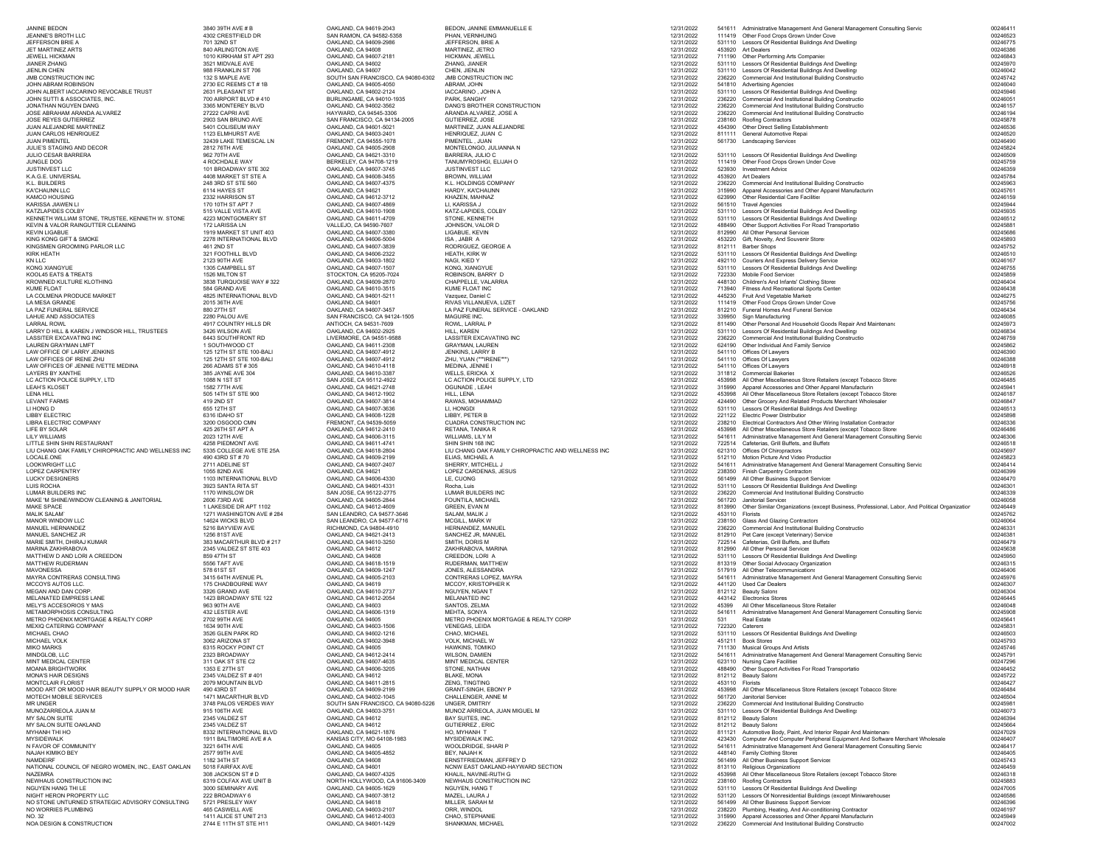| <b>JANINE BEDON</b>                                                               | 3840 39TH AVE # B                                    | OAKLAND, CA 94619-2043                                       | BEDON, JANINE EMMANUELLE E                                              | 12/31/2022               |                 | 541611 Administrative Management And General Management Consulting Servic                                                                | 00246411             |
|-----------------------------------------------------------------------------------|------------------------------------------------------|--------------------------------------------------------------|-------------------------------------------------------------------------|--------------------------|-----------------|------------------------------------------------------------------------------------------------------------------------------------------|----------------------|
| JEANNE'S BROTH LLC                                                                | 4302 CRESTFIELD DR                                   | SAN RAMON, CA 94582-5358                                     | PHAN, VERNHUING                                                         | 12/31/2022               |                 | 111419 Other Food Crops Grown Under Cove                                                                                                 | 00246523             |
| JEFFERSON BRIE A<br><b>JFT MARTINFZ ARTS</b>                                      | 701 32ND ST<br>840 ARLINGTON AVE                     | OAKLAND, CA 94609-2986<br>OAKLAND, CA 94608                  | JEFFERSON, BRIE A<br>MARTINEZ, JETRO                                    | 12/31/2022<br>12/31/2022 |                 | 531110 Lessors Of Residential Buildings And Dwelling:<br>453920 Art Dealers                                                              | 00246775<br>00246386 |
| JEWELL HICKMAN                                                                    | 1010 KIRKHAM ST APT 293                              | OAKLAND, CA 94607-2181                                       | HICKMAN, JEWELL                                                         | 12/31/2022               |                 | 711190 Other Performing Arts Companies                                                                                                   | 00246843             |
| <b>JIANER ZHANG</b><br>JIENLIN CHEN                                               | 3521 MIDVALE AVE<br>988 FRANKLIN ST 706              | OAKLAND, CA 94602<br>OAKLAND, CA 94607                       | ZHANG, JIANER<br>CHEN, JIENLIN                                          | 12/31/2022<br>12/31/2022 |                 | 531110 Lessors Of Residential Buildings And Dwelling:<br>531110 Lessors Of Residential Buildings And Dwelling:                           | 00245970<br>00246042 |
| JMB CONSTRUCTION INC                                                              | 132 S MAPLE AVE                                      | SOUTH SAN FRANCISCO, CA 94080-6302                           | JMB CONSTRUCTION INC                                                    | 12/31/2022               |                 | 236220 Commercial And Institutional Building Constructio                                                                                 | 00245742             |
| JOHN ABRAM ROBINSON<br>JOHN ALBERT IACCARINO REVOCABLE TRUST                      | 2730 EC REEMS CT #1B<br>2631 PLEASANT ST             | OAKLAND, CA 94605-4050<br>OAKLAND, CA 94602-2124             | ABRAM, JOHN<br>IACCARINO, JOHN A                                        | 12/31/2022<br>12/31/2022 |                 | 541810 Advertising Agencies<br>531110 Lessors Of Residential Buildings And Dwelling:                                                     | 00246040<br>00245946 |
| JOHN SUTTI & ASSOCIATES, INC.                                                     | 700 AIRPORT BLVD #410                                | BURLINGAME, CA 94010-1935                                    | PARK, SANGHY                                                            | 12/31/2022               |                 | 236220 Commercial And Institutional Building Constructio                                                                                 | 00246051             |
| JONATHAN NGUYEN DANG<br>JOSE ABRAHAM ARANDA ALVAREZ                               | 3365 MONTEREY BLVD<br>27222 CAPRI AVE                | OAKLAND, CA 94602-3562<br>HAYWARD, CA 94545-3306             | DANG'S BROTHER CONSTRUCTION<br>ARANDA ALVAREZ, JOSE A                   | 12/31/2022<br>12/31/2022 |                 | 236220 Commercial And Institutional Building Constructio<br>236220 Commercial And Institutional Building Constructio                     | 00246157<br>00246194 |
| JOSE REYES GUTIERREZ                                                              | 2903 SAN BRUNO AVE                                   | SAN FRANCISCO, CA 94134-2005                                 | GUTIERREZ, JOSE                                                         | 12/31/2022               |                 | 238160 Roofing Contractors                                                                                                               | 00245878             |
| JUAN ALEJANDRE MARTINEZ<br>JUAN CARLOS HENRIQUEZ                                  | 5401 COLISEUM WAY<br>1123 ELMHURST AVE               | OAKLAND, CA 94601-5021<br>OAKLAND, CA 94603-2401             | MARTINEZ, JUAN ALEJANDRE<br>HENRIQUEZ, JUAN C                           | 12/31/2022<br>12/31/2022 |                 | 454390 Other Direct Selling Establishments<br>811111 General Automotive Repai                                                            | 00246536<br>00246520 |
| <b>JUAN PIMENTEL</b>                                                              | 32439 LAKE TEMESCAL LN                               | FREMONT, CA 94555-1078                                       | PIMENTEL, JUAN                                                          | 12/31/2022               |                 | 561730 Landscaping Services                                                                                                              | 00246490             |
| JULIE'S STAGING AND DECOR<br>JULIO CESAR BARRERA                                  | 2812 76TH AVE<br>962 70TH AVE                        | OAKLAND, CA 94605-2908<br>OAKLAND, CA 94621-3310             | MONTELONGO, JULIANNA N<br>BARRERA, JULIO C                              | 12/31/2022<br>12/31/2022 |                 | 531110 Lessors Of Residential Buildings And Dwelling:                                                                                    | 00245824<br>00246509 |
| JUNGLE DOG                                                                        | 4 ROCHDALE WAY                                       | BERKELEY, CA 94708-1219                                      | TANUMYROSHGI. ELIJAH O                                                  | 12/31/2022               |                 | 111419 Other Food Crops Grown Under Cove                                                                                                 | 00245759             |
| JUSTINVEST LLC<br>K.A.G.E. UNIVERSAL                                              | 101 BROADWAY STF 302<br>4408 MARKET ST STE A         | OAKLAND, CA 94607-3745<br>OAKLAND, CA 94608-3455             | JUSTINVEST LLC<br>BROWN, WILLIAM                                        | 12/31/2022<br>12/31/2022 |                 | 523930 Investment Advice<br>453920 Art Dealers                                                                                           | 00246359<br>00245784 |
| K.L. BUILDERS                                                                     | 248 3RD ST STE 560                                   | OAKLAND, CA 94607-4375                                       | K.L. HOLDINGS COMPANY                                                   | 12/31/2022               |                 | 236220 Commercial And Institutional Building Constructio                                                                                 | 00245963             |
| KA'CHAUNN LLC<br>KAMCO HOUSING                                                    | 6114 HAYES ST<br>2332 HARRISON ST                    | OAKLAND, CA 94621<br>OAKLAND, CA 94612-3712                  | HARDY, KA'CHAUNN<br>KHAZEN, MAHNAZ                                      | 12/31/2022<br>12/31/2022 | 315990          | Apparel Accessories and Other Apparel Manufacturin<br>623990 Other Residential Care Facilities                                           | 00245761<br>00246159 |
| KARISSA JIAWEN II                                                                 | 170 10TH ST APT 7                                    | OAKLAND, CA 94607-4869                                       | <b>II KARISSA J</b>                                                     | 12/31/2022               |                 | 561510 Travel Agencies                                                                                                                   | 00245944             |
| KATZLAPIDES COLBY<br>KENNETH WILLIAM STONE, TRUSTEE, KENNETH W. STONE             | 515 VALLE VISTA AVE<br>4223 MONTGOMERY ST            | OAKLAND, CA 94610-1908<br>OAKLAND, CA 94611-4709             | KATZ-LAPIDES, COLBY<br>STONE, KENNETH                                   | 12/31/2022<br>12/31/2022 |                 | 531110 Lessors Of Residential Buildings And Dwelling:<br>531110 Lessors Of Residential Buildings And Dwelling:                           | 00245935<br>00246512 |
| KEVIN & VALOR RAINGUTTER CLEANING                                                 | 172   ARISSA   N                                     | VALLEJO. CA 94590-7607                                       | JOHNSON, VALOR D                                                        | 12/31/2022               |                 | 488490 Other Support Activities For Road Transportatio                                                                                   | 00245881             |
| <b>KEVIN LIGABUE</b><br>KING KONG GIFT & SMOKE                                    | 1919 MARKET ST UNIT 403<br>2278 INTERNATIONAL BLVD   | OAKLAND, CA 94607-3380<br>OAKLAND, CA 94606-5004             | LIGABUE, KEVIN<br>ISA, JABR A                                           | 12/31/2022<br>12/31/2022 |                 | 812990 All Other Personal Services<br>453220 Gift, Novelty, And Souvenir Store:                                                          | 00245686<br>00245893 |
| KINGSMEN GROOMING PARLOR LLC                                                      | 461 2ND ST                                           | OAKLAND, CA 94607-3839                                       | RODRIGUEZ, GEORGE A                                                     | 12/31/2022               |                 | 812111 Barber Shops                                                                                                                      | 00245752             |
| <b>KIRK HEATH</b>                                                                 | 321 FOOTHILL BLVD                                    | OAKLAND, CA 94606-2322                                       | HEATH, KIRK W                                                           | 12/31/2022               |                 | 531110 Lessors Of Residential Buildings And Dwelling:                                                                                    | 00246510             |
| KN LLC<br>KONG XIANGYUE                                                           | 2123 90TH AVE<br>1305 CAMPBELL ST                    | OAKLAND, CA 94603-1802<br>OAKLAND, CA 94607-1507             | NAGI, KIED Y<br>KONG, XIANGYUE                                          | 12/31/2022<br>12/31/2022 |                 | 492110 Couriers And Express Delivery Service<br>531110 Lessors Of Residential Buildings And Dwelling:                                    | 00246167<br>00246755 |
| KOOL45 EATS & TREATS                                                              | 1526 MILTON ST                                       | STOCKTON, CA 95205-7024                                      | ROBINSON, BARRY D                                                       | 12/31/2022               |                 | 722330 Mobile Food Services                                                                                                              | 00245859             |
| KROWNED KULTURE KLOTHING<br><b>KUME FLOAT</b>                                     | 3838 TURQUOISE WAY #322<br>584 GRAND AVE             | OAKLAND, CA 94609-2870<br>OAKLAND, CA 94610-3515             | CHAPPELLE, VALARRIA<br>KUME FLOAT INC                                   | 12/31/2022<br>12/31/2022 |                 | 448130 Children's And Infants' Clothing Stores<br>713940 Fitness And Recreational Sports Center:                                         | 00246404<br>00246438 |
| LA COLMENA PRODUCE MARKET                                                         | 4825 INTERNATIONAL BLVD                              | OAKLAND, CA 94601-5211                                       | Vazquez, Daniel C                                                       | 12/31/2022               |                 | 445230 Fruit And Vegetable Market:                                                                                                       | 00246275             |
| LA MESA GRANDE                                                                    | 2015 36TH AVE                                        | OAKLAND, CA 94601                                            | RIVAS VILLANUEVA, LIZET<br>LA PAZ FUNERAL SERVICE - OAKLAND             | 12/31/2022               |                 | 111419 Other Food Crops Grown Under Cove<br>812210 Funeral Homes And Funeral Service:                                                    | 00245756<br>00246434 |
| LA PAZ FUNERAL SERVICE<br>LAHUE AND ASSOCIATES                                    | 880 27TH ST<br>2280 PALOU AVE                        | OAKLAND, CA 94607-3457<br>SAN FRANCISCO, CA 94124-1505       | MAGUIRE INC.                                                            | 12/31/2022<br>12/31/2022 |                 | 339950 Sign Manufacturing                                                                                                                | 00246085             |
| <b>LARRAL ROWL</b>                                                                | 4917 COUNTRY HILLS DR                                | ANTIOCH, CA 94531-7609                                       | ROWL, LARRAL P                                                          | 12/31/2022               |                 | 811490 Other Personal And Household Goods Repair And Maintenand                                                                          | 00245973             |
| LARRY D HILL & KAREN J WINDSOR HILL, TRUSTEES<br>LASSITER EXCAVATING INC          | 3426 WILSON AVE<br>6443 SOUTHFRONT RD                | OAKLAND, CA 94602-2925<br>LIVERMORE, CA 94551-9588           | HILL, KAREN<br>LASSITER EXCAVATING INC                                  | 12/31/2022<br>12/31/2022 |                 | 531110 Lessors Of Residential Buildings And Dwelling:<br>236220 Commercial And Institutional Building Constructio                        | 00246834<br>00246759 |
| <b>I AUREN GRAYMAN I MET</b>                                                      | 1 SOUTHWOOD CT                                       | OAKLAND, CA 94611-2308                                       | <b>GRAYMAN LAUREN</b>                                                   | 12/31/2022               |                 | 624190 Other Individual And Family Service                                                                                               | 00245862             |
| LAW OFFICE OF LARRY JENKINS<br>LAW OFFICES OF IRENE ZHU                           | 125 12TH ST STE 100-BALI<br>125 12TH ST STE 100-BALI | OAKLAND, CA 94607-4912<br>OAKLAND, CA 94607-4912             | JENKINS, LARRY B<br>ZHU, YUAN (""IRENE"")                               | 12/31/2022<br>12/31/2022 |                 | 541110 Offices Of Lawyers<br>541110 Offices Of Lawvers                                                                                   | 00246390<br>00246388 |
| LAW OFFICES OF JENNIE IVETTE MEDINA                                               | 266 ADAMS ST # 305                                   | OAKLAND, CA 94610-4118                                       | MEDINA, JENNIE I                                                        | 12/31/2022               |                 | 541110 Offices Of Lawyers                                                                                                                | 00246918             |
| LAYERS BY XANTHE<br>LC ACTION POLICE SUPPLY, LTD                                  | 385 JAYNE AVE 304<br>1088 N 1ST ST                   | OAKLAND, CA 94610-3387<br>SAN JOSE, CA 95112-4922            | WELLS, ERICKA X<br>LC ACTION POLICE SUPPLY, LTD                         | 12/31/2022<br>12/31/2022 |                 | 311812 Commercial Bakeries<br>453998 All Other Miscellaneous Store Retailers (except Tobacco Store:                                      | 00246526<br>00246485 |
| LEAH'S KLOSET                                                                     | 1582 77TH AVE                                        | OAKLAND, CA 94621-2748                                       | OGUNADE, LEAH                                                           | 12/31/2022               |                 | 315990 Apparel Accessories and Other Apparel Manufacturin                                                                                | 00245941             |
| LENA HILL                                                                         | 505 14TH ST STE 900                                  | OAKLAND, CA 94612-1902                                       | HILL, LENA<br>RAWAS, MOHAMMAD                                           | 12/31/2022               |                 | 453998 All Other Miscellaneous Store Retailers (except Tobacco Store:                                                                    | 00246187<br>00246847 |
| <b>LEVANT FARMS</b><br>LI HONG D                                                  | 419 2ND ST<br>655 12TH ST                            | OAKLAND, CA 94607-3814<br>OAKLAND, CA 94607-3636             | LI, HONGDI                                                              | 12/31/2022<br>12/31/2022 |                 | 424490 Other Grocery And Related Products Merchant Wholesaler<br>531110 Lessors Of Residential Buildings And Dwelling:                   | 00246513             |
| <b>LIBBY ELECTRIC</b>                                                             | 6316 IDAHO ST                                        | OAKLAND, CA 94608-1228                                       | LIBBY, PETER B                                                          | 12/31/2022               |                 | 221122 Electric Power Distribution                                                                                                       | 00245898             |
| LIBRA ELECTRIC COMPANY<br>LIFE BY SOLAR                                           | 3200 OSGOOD CMN<br>425 26TH ST APT A                 | FREMONT, CA 94539-5059<br>OAKLAND, CA 94612-2410             | CUADRA CONSTRUCTION INC<br>RETANA, TANIKA R                             | 12/31/2022<br>12/31/2022 | 453998          | 238210 Electrical Contractors And Other Wiring Installation Contractor<br>All Other Miscellaneous Store Retailers (except Tobacco Store: | 00246336<br>00246486 |
| <b>LILY WILLIAMS</b>                                                              | 2023 12TH AVE                                        | OAKLAND, CA 94606-3115                                       | WILLIAMS, LILY M                                                        | 12/31/2022               |                 | 541611 Administrative Management And General Management Consulting Servic                                                                | 00246306             |
| LITTLE SHIN SHIN RESTAURANT<br>LIU CHANG OAK FAMILY CHIROPRACTIC AND WELLNESS INC | 4258 PIEDMONT AVE<br>5335 COLLEGE AVE STE 25A        | OAKLAND, CA 94611-4741<br>OAKLAND, CA 94618-2804             | SHIN SHIN 168 INC<br>LIU CHANG OAK FAMILY CHIROPRACTIC AND WELLNESS INC | 12/31/2022<br>12/31/2022 |                 | 722514 Cafeterias, Grill Buffets, and Buffets<br>621310 Offices Of Chiropractors                                                         | 00246518<br>00245697 |
| LOCALE.ONE                                                                        | 490 43RD ST #70                                      | OAKLAND, CA 94609-2199                                       | ELIAS, MICHAEL A                                                        | 12/31/2022               |                 | 512110 Motion Picture And Video Production                                                                                               | 00245823             |
| LOOKWRIGHT LLC                                                                    | 2711 ADELINE ST<br>1055 82ND AVE                     | OAKLAND, CA 94607-2407                                       | SHERRY, MITCHELL J                                                      | 12/31/2022               |                 | 541611 Administrative Management And General Management Consulting Servic                                                                | 00246414<br>00246399 |
| LOPEZ CARPENTRY<br><b>LUCKY DESIGNERS</b>                                         | 1103 INTERNATIONAL BLVD                              | OAKLAND, CA 94621<br>OAKLAND, CA 94606-4330                  | LOPEZ CARDENAS, JESUS<br>LE. CUONG                                      | 12/31/2022<br>12/31/2022 |                 | 238350 Finish Carpentry Contractors<br>561499 All Other Business Support Services                                                        | 00246470             |
| <b>LUIS ROCHA</b>                                                                 | 3923 SANTA RITA ST                                   | OAKLAND, CA 94601-4331                                       | Rocha, Luis                                                             | 12/31/2022               |                 | 531110 Lessors Of Residential Buildings And Dwelling:                                                                                    | 00246301             |
| LUMAR BUILDERS INC<br>MAKE 'M SHINE/WINDOW CLEANING & JANITORIAL                  | 1170 WINSLOW DR<br>2606 73RD AVE                     | SAN JOSE, CA 95122-2775<br>OAKLAND, CA 94605-2844            | <b>LUMAR BUILDERS INC</b><br>FOUNTILA, MICHAEL                          | 12/31/2022<br>12/31/2022 |                 | 236220 Commercial And Institutional Building Constructio<br>561720 Janitorial Services                                                   | 00246339<br>00246058 |
| MAKE SPACE                                                                        | 1 LAKESIDE DR APT 1102                               | OAKLAND, CA 94612-4609                                       | GREEN, EVAN M                                                           | 12/31/2022               |                 | 813990 Other Similar Organizations (except Business, Professional, Labor, And Political Organization                                     | 00246449             |
| MALIK SALAM'<br>MANOR WINDOW LLC                                                  | 1271 WASHINGTON AVE # 284<br>14624 WICKS BLVD        | SAN LEANDRO, CA 94577-3646<br>SAN LEANDRO, CA 94577-6716     | SALAM, MALIK J<br>MCGILL, MARK W                                        | 12/31/2022<br>12/31/2022 | 453110 Florists | 238150 Glass And Glazing Contractors                                                                                                     | 00245762<br>00246064 |
| MANUEL HERNANDEZ                                                                  | 5216 BAYVIEW AVE                                     | RICHMOND, CA 94804-4910                                      | HERNANDEZ, MANUEL                                                       | 12/31/2022               |                 | 236220 Commercial And Institutional Building Constructio                                                                                 | 00246331             |
| MANUEL SANCHEZ JR<br>MARIE SMITH, DHIRAJ KUMAR                                    | 1256 81ST AVE<br>383 MACARTHUR BLVD # 217            | OAKLAND, CA 94621-2413<br>OAKLAND, CA 94610-3250             | SANCHEZ JR, MANUEL<br>SMITH, DORIS M                                    | 12/31/2022<br>12/31/2022 |                 | 812910 Pet Care (except Veterinary) Service<br>722514 Cafeterias, Grill Buffets, and Buffets                                             | 00246381<br>00246479 |
| MARINA ZAKHRABOVA                                                                 | 2345 VALDEZ ST STE 403                               | OAKLAND, CA 94612                                            | ZAKHRABOVA, MARINA                                                      | 12/31/2022               |                 | 812990 All Other Personal Services                                                                                                       | 00245638             |
| MATTHEW D AND LORI A CREEDON                                                      | 859 47TH ST                                          | OAKLAND, CA 94608                                            | CREEDON, LORI A                                                         | 12/31/2022               |                 | 531110 Lessors Of Residential Buildings And Dwelling:<br>813319 Other Social Advocacy Organization                                       | 00245950             |
| MATTHEW RUDERMAN<br><b>MAVONESSA</b>                                              | 5556 TAFT AVE<br>578 61ST ST                         | OAKLAND, CA 94618-1519<br>OAKLAND, CA 94609-1247             | RUDERMAN, MATTHEW<br>JONES, ALESSANDRA                                  | 12/31/2022<br>12/31/2022 |                 | 517919 All Other Telecommunications                                                                                                      | 00246315<br>00246406 |
| MAYRA CONTRERAS CONSULTING                                                        | 3415 64TH AVENUE PL                                  | OAKLAND, CA 94605-2103                                       | CONTRERAS LOPEZ, MAYRA                                                  | 12/31/2022               |                 | 541611 Administrative Management And General Management Consulting Servic                                                                | 00245976             |
| MCCOYS AUTOS LLC.<br>MEGAN AND DAN CORP                                           | 175 CHADBOURNE WAY<br>3326 GRAND AVE                 | OAKLAND, CA 94619<br>OAKLAND, CA 94610-2737                  | MCCOY, KRISTOPHER K<br>NGUYEN, NGAN T                                   | 12/31/2022<br>12/31/2022 |                 | 441120 Used Car Dealers<br>812112 Beauty Salons                                                                                          | 00246307<br>00246304 |
| <b>MELANATED EMPRESS LANE</b>                                                     | 1423 BROADWAY STE 122                                | OAKLAND, CA 94612-2054                                       | MELANATED INC                                                           | 12/31/2022               |                 | 443142 Electronics Stores                                                                                                                | 00246445             |
| MELY'S ACCESORIOS Y MAS<br>METAMORPHOSIS CONSULTING                               | 963 90TH AVE<br>432 LESTER AVE                       | OAKLAND, CA 94603<br>OAKLAND, CA 94606-1319                  | SANTOS, ZELMA<br>MEHTA, SONYA                                           | 12/31/2022<br>12/31/2022 | 45399           | All Other Miscellaneous Store Retailer<br>541611 Administrative Management And General Management Consulting Servic                      | 00246048<br>00245908 |
| METRO PHOENIX MORTGAGE & REALTY CORP                                              | 2702 99TH AVE                                        | OAKLAND, CA 94605                                            | METRO PHOENIX MORTGAGE & REALTY CORP                                    | 12/31/2022               | 531             | <b>Real Estate</b>                                                                                                                       | 00245641             |
| MEXIQ CATERING COMPANY<br>MICHAEL CHAO                                            | 1634 90TH AVE<br>3526 GLEN PARK RD                   | OAKLAND, CA 94603-1506<br>OAKLAND, CA 94602-1216             | <b>VENEGAS, LEIDA</b><br>CHAO, MICHAEL                                  | 12/31/2022<br>12/31/2022 |                 | 722320 Caterers<br>531110 Lessors Of Residential Buildings And Dwelling:                                                                 | 0024583<br>00246503  |
| MICHAEL VOLK                                                                      | 3062 ARIZONA ST                                      | OAKLAND, CA 94602-3948                                       | VOLK, MICHAEL W                                                         | 12/31/2022               |                 | 451211 Book Stores                                                                                                                       | 00245793             |
| <b>MIKO MARKS</b>                                                                 | 6315 ROCKY POINT CT<br>2323 BROADWAY                 | OAKLAND, CA 94605<br>OAKLAND, CA 94612-2414                  | HAWKINS, TOMIKO<br>WILSON, DAMIEN                                       | 12/31/2022               |                 | 711130 Musical Groups And Artists                                                                                                        | 00245746<br>00245791 |
| MINDGLOB, LLC<br>MINT MEDICAL CENTER                                              | 311 OAK ST STE C2                                    | OAKLAND, CA 94607-4635                                       | MINT MEDICAL CENTER                                                     | 12/31/2022<br>12/31/2022 |                 | 541611 Administrative Management And General Management Consulting Servic<br>623110 Nursing Care Facilities                              | 00247296             |
| <b>MOANA BRIGHTWORK</b>                                                           | 1353 E 27TH ST                                       | OAKLAND, CA 94606-3205                                       | STONE, NATHAN                                                           | 12/31/2022               |                 | 488490 Other Support Activities For Road Transportatio                                                                                   | 00246452             |
| MONA'S HAIR DESIGNS<br>MONTCLAIR FLORIST                                          | 2345 VALDEZ ST #401<br>2079 MOUNTAIN BLVD            | OAKLAND, CA 94612<br>OAKLAND, CA 94611-2815                  | BLAKE, MONA<br>ZENG, TINGTING                                           | 12/31/2022<br>12/31/2022 | 453110 Florists | 812112 Beauty Salons                                                                                                                     | 00245722<br>00246427 |
| MOOD ART OR MOOD HAIR BEAUTY SUPPLY OR MOOD HAIR                                  | 490 43RD ST                                          | OAKLAND, CA 94609-2199                                       | GRANT-SINGH, EBONY P                                                    | 12/31/2022               |                 | 453998 All Other Miscellaneous Store Retailers (except Tobacco Store:                                                                    | 00246484             |
| MOTECH MOBILE SERVICES<br><b>MR UNGER</b>                                         | 1471 MACARTHUR BLVD<br>3748 PALOS VERDES WAY         | OAKLAND, CA 94602-1045<br>SOUTH SAN FRANCISCO, CA 94080-5226 | CHALLENGER, ANNE M<br><b>UNGER, DMITRIY</b>                             | 12/31/2022<br>12/31/2022 |                 | 561720 Janitorial Services<br>236220 Commercial And Institutional Building Constructio                                                   | 00246504<br>00245981 |
| MUNOZARREOLA JUAN M                                                               | 915 106TH AVE                                        | OAKLAND, CA 94603-3751                                       | MUNOZ ARREOLA, JUAN MIGUEL M                                            | 12/31/2022               |                 | 531110 Lessors Of Residential Buildings And Dwelling:                                                                                    | 00246073             |
| MY SALON SUITE<br>MY SALON SUITE OAKLAND                                          | 2345 VALDEZ ST<br>2345 VALDEZ ST                     | OAKLAND, CA 94612<br>OAKLAND, CA 94612                       | BAY SUITES, INC.<br>GUTIERREZ, ERIC                                     | 12/31/2022<br>12/31/2022 |                 | 812112 Beauty Salons<br>812112 Beauty Salons                                                                                             | 00246394<br>00245664 |
| MYHANH THI HO                                                                     | 8332 INTERNATIONAL BLVD                              | OAKLAND, CA 94621-1876                                       | HO. MYHANH T                                                            | 12/31/2022               |                 | 811121 Automotive Body, Paint, And Interior Repair And Maintenano                                                                        | 00247029             |
| MYSIDEWALK                                                                        | 1911 BALTIMORE AVE # A                               | KANSAS CITY, MO 64108-1983                                   | MYSIDEWALK INC                                                          | 12/31/2022               |                 | 423430 Computer And Computer Peripheral Equipment And Software Merchant Wholesale                                                        | 00246407<br>00246417 |
| N FAVOR OF COMMUNITY<br>NAJAH KIMIKO BEY                                          | 3221 64TH AVE<br>2577 99TH AVE                       | OAKLAND, CA 94605<br>OAKLAND, CA 94605-4852                  | WOOLDRIDGE, SHARI P<br><b>BFY NAJAH K</b>                               | 12/31/2022<br>12/31/2022 |                 | 541611 Administrative Management And General Management Consulting Servic<br>448140 Family Clothing Stores                               | 00246405             |
| NAMDEIRF                                                                          | 1182 34TH ST                                         | OAKLAND, CA 94608                                            | ERNSTFRIEDMAN, JEFFREY D                                                | 12/31/2022               |                 | 561499 All Other Business Support Services                                                                                               | 00245743             |
| NATIONAL COUNCIL OF NEGRO WOMEN, INC., EAST OAKLAN<br>NAZEMRA                     | 5018 FAIRFAX AVE<br>308 JACKSON ST # D               | OAKLAND, CA 94601<br>OAKLAND, CA 94607-4325                  | NCNW EAST OAKLAND-HAYWARD SECTION<br>KHALIL, NAVINE-RUTH G              | 12/31/2022<br>12/31/2022 |                 | 813110 Religious Organizations<br>453998 All Other Miscellaneous Store Retailers (except Tobacco Store:                                  | 00246459<br>00246318 |
| NEWHAUS CONSTRUCTION INC                                                          | 6319 COLFAX AVE UNIT B                               | NORTH HOLLYWOOD, CA 91606-3409                               | NEWHAUS CONSTRUCTION INC                                                | 12/31/2022               |                 | 238160 Roofing Contractors                                                                                                               | 00245883             |
| NGUYEN HANG THI LE<br>NIGHT HERON PROPERTY LLC                                    | 3000 SEMINARY AVE<br>222 BROADWAY 6                  | OAKLAND, CA 94605-1629<br>OAKLAND, CA 94607-3812             | NGUYEN, HANG T<br>MAZEL, LAURA J                                        | 12/31/2022<br>12/31/2022 |                 | 531110 Lessors Of Residential Buildings And Dwelling:<br>531120 Lessors Of Nonresidential Buildings (except Miniwarehouses               | 00247005<br>00246586 |
| NO STONE UNTURNED STRATEGIC ADVISORY CONSULTING                                   | 5721 PRESLEY WAY                                     | OAKLAND, CA 94618                                            | MILLER, SARAH M                                                         | 12/31/2022               |                 | 561499 All Other Business Support Services                                                                                               | 00246396             |
| NO WORRIES PLUMBING<br>NO. 32                                                     | 465 CASWELL AVE<br>1411 ALICE ST UNIT 213            | OAKLAND, CA 94603-2107<br>OAKLAND, CA 94612-4003             | ORR, WINDOL<br>CHAO, STEPHANIE                                          | 12/31/2022<br>12/31/2022 |                 | 238220 Plumbing, Heating, And Air-conditioning Contractor<br>315990 Apparel Accessories and Other Apparel Manufacturin                   | 00246197<br>00245949 |
| NOA DESIGN & CONSTRUCTION                                                         | 2744 E 11TH ST STE H11                               | OAKLAND, CA 94601-1429                                       | SHANKMAN, MICHAEL                                                       | 12/31/2022               |                 | 236220 Commercial And Institutional Building Constructio                                                                                 | 00247002             |
|                                                                                   |                                                      |                                                              |                                                                         |                          |                 |                                                                                                                                          |                      |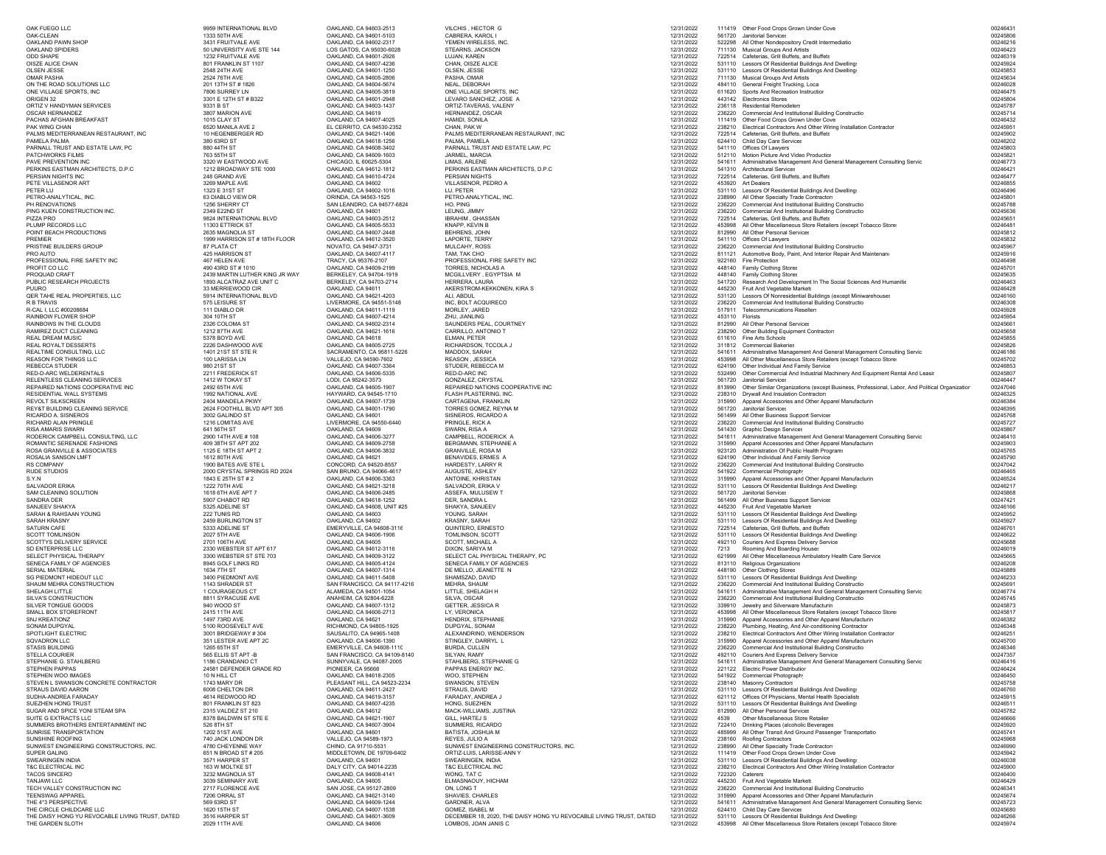| OAK FUEGO LLC                                                               | 9959 INTERNATIONAL BLVD                            | OAKLAND, CA 94603-2513                                | VILCHIS, HECTOR G                                                                     | 12/31/2022               |        | 111419 Other Food Crops Grown Under Cove                                                                                                    | 00246431             |
|-----------------------------------------------------------------------------|----------------------------------------------------|-------------------------------------------------------|---------------------------------------------------------------------------------------|--------------------------|--------|---------------------------------------------------------------------------------------------------------------------------------------------|----------------------|
| OAK-CLEAN<br>OAKLAND PAWN SHOP                                              | 1333 50TH AVE<br>3431 FRUITVALE AVE                | OAKLAND, CA 94601-5103<br>OAKLAND, CA 94602-2317      | CABRERA KAROLI<br>YEMEN WIRELESS, INC.                                                | 12/31/2022<br>12/31/2022 | 522298 | 561720 Janitorial Services<br>All Other Nondepository Credit Intermediatio                                                                  | 00245806<br>00246216 |
| OAKLAND SPIDERS                                                             | 50 UNIVERSITY AVE STE 144                          | LOS GATOS, CA 95030-6028                              | STEARNS, JACKSON                                                                      | 12/31/2022               |        | 711130 Musical Groups And Artists                                                                                                           | 00246423             |
| <b>ODD SHAPE</b><br>OISZE ALICE CHAN                                        | 1232 FRUITVALE AVE<br>801 FRANKLIN ST 1107         | OAKLAND, CA 94601-2926<br>OAKLAND, CA 94607-4236      | LUJAN, KAREN<br>CHAN, OISZE ALICE                                                     | 12/31/2022<br>12/31/2022 |        | 722514 Cafeterias, Grill Buffets, and Buffets                                                                                               | 00246319<br>00245924 |
| OLSEN JESSE                                                                 | 2548 24TH AVE                                      | OAKLAND, CA 94601-1250                                | OLSEN, JESSE                                                                          | 12/31/2022               |        | 531110 Lessors Of Residential Buildings And Dwelling:<br>531110 Lessors Of Residential Buildings And Dwelling:                              | 00245853             |
| OMAR PASHA                                                                  | 2524 76TH AVE                                      | OAKLAND, CA 94605-2806                                | PASHA, OMAR                                                                           | 12/31/2022               |        | 711130 Musical Groups And Artists                                                                                                           | 00245634             |
| ON THE ROAD SOLUTIONS LLC<br>ONE VILLAGE SPORTS, INC                        | 201 13TH ST # 1826<br>7806 SURREY LN               | OAKLAND, CA 94604-5674<br>OAKLAND, CA 94605-3819      | NEAL, DEBORAH<br>ONE VILLAGE SPORTS, INC                                              | 12/31/2022<br>12/31/2022 |        | 484110 General Freight Trucking, Loca<br>611620 Sports And Recreation Instruction                                                           | 00246028<br>00246475 |
| ORIGEN 32                                                                   | 3301 E 12TH ST # B322                              | OAKLAND, CA 94601-2948                                | LEVARO SANCHEZ, JOSE A                                                                | 12/31/2022               |        | 443142 Electronics Stores                                                                                                                   | 00245804             |
| ORTIZ V HANDYMAN SERVICES<br>OSCAR HERNANDEZ                                | 9331 B ST<br>3807 MARION AVE                       | OAKLAND, CA 94603-1437<br>OAKLAND, CA 94619           | ORTIZ-TAVERAS, VALENY<br>HERNANDEZ, OSCAR                                             | 12/31/2022               |        | 236118 Residential Remodeler                                                                                                                | 00245787<br>00245714 |
| PACHAS AFGHAN BREAKFAST                                                     | 1015 CLAY ST                                       | OAKLAND, CA 94607-4025                                | HAMIDI, SONILA                                                                        | 12/31/2022<br>12/31/2022 |        | 236220 Commercial And Institutional Building Constructio<br>111419 Other Food Crops Grown Under Cove                                        | 00246432             |
| PAK WING CHAN                                                               | 6520 MANILA AVE 2                                  | EL CERRITO, CA 94530-2352                             | CHAN, PAK W                                                                           | 12/31/2022               |        | 238210 Electrical Contractors And Other Wiring Installation Contractor                                                                      | 00245951             |
| PALMS MEDITERRANEAN RESTAURANT, INC<br>PAMELA PALMA                         | 10 HEGENBERGER RD<br>380 63RD ST                   | OAKLAND, CA 94621-1406<br>OAKLAND, CA 94618-1256      | PALMS MEDITERRANEAN RESTAURANT, INC<br>PALMA, PAMELA                                  | 12/31/2022<br>12/31/2022 |        | 722514 Cafeterias, Grill Buffets, and Buffets<br>624410 Child Day Care Services                                                             | 00245902<br>00246202 |
| PARNALL TRUST AND ESTATE LAW, PC                                            | 880 44TH ST                                        | OAKLAND, CA 94608-3402                                | PARNALL TRUST AND ESTATE LAW, PC                                                      | 12/31/2022               |        | 541110 Offices Of Lawvers                                                                                                                   | 00245803             |
| PATCHWORKS FILMS                                                            | 763 55TH ST                                        | OAKLAND, CA 94609-1603                                | JARMEL, MARCIA                                                                        | 12/31/2022               | 512110 | Motion Picture And Video Production                                                                                                         | 00245821<br>00246773 |
| PAVE PREVENTION INC<br>PERKINS EASTMAN ARCHITECTS, D.P.C.                   | 3320 W EASTWOOD AVE<br>1212 BROADWAY STE 1000      | CHICAGO, IL 60625-5304<br>OAKLAND, CA 94612-1812      | LIMAS, ARLENE<br>PERKINS EASTMAN ARCHITECTS, D.P.C.                                   | 12/31/2022<br>12/31/2022 |        | 541611 Administrative Management And General Management Consulting Servic<br>541310 Architectural Services                                  | 00246421             |
| PERSIAN NIGHTS INC                                                          | 248 GRAND AVE                                      | OAKLAND, CA 94610-4724                                | PERSIAN NIGHTS                                                                        | 12/31/2022               |        | 722514 Cafeterias, Grill Buffets, and Buffets                                                                                               | 00246477             |
| PETE VILLASENOR ART<br>PETER LU                                             | 3269 MAPLE AVE<br>1323 E 31ST ST                   | OAKLAND, CA 94602<br>OAKLAND, CA 94602-1016           | VILLASENOR, PEDRO A<br>LU. PETFR                                                      | 12/31/2022<br>12/31/2022 |        | 453920 Art Dealers<br>531110 Lessors Of Residential Buildings And Dwelling:                                                                 | 00246855<br>00246496 |
| PETRO-ANALYTICAL, INC.                                                      | 63 DIABLO VIEW DR                                  | ORINDA, CA 94563-1525                                 | PETRO-ANALYTICAL, INC.                                                                | 12/31/2022               | 238990 | All Other Specialty Trade Contractor                                                                                                        | 00245801             |
| PH RENOVATIONS<br>PING KUEN CONSTRUCTION INC.                               | 1256 SHERRY CT<br>2349 E22ND ST                    | SAN LEANDRO, CA 94577-6824<br>OAKLAND, CA 94601       | HO, PING<br>LEUNG, JIMMY                                                              | 12/31/2022<br>12/31/2022 |        | 236220 Commercial And Institutional Building Constructio<br>236220 Commercial And Institutional Building Constructio                        | 00245788<br>00245636 |
| PIZZA PRO                                                                   | 9824 INTERNATIONAL BLVD                            | OAKLAND, CA 94603-2512                                | IBRAHIM, GHASSAN                                                                      | 12/31/2022               | 722514 | Cafeterias, Grill Buffets, and Buffets                                                                                                      | 00245651             |
| PLUMP RECORDS LLC                                                           | 11303 ETTRICK ST                                   | OAKLAND, CA 94605-5533                                | KNAPP, KEVIN B                                                                        | 12/31/2022               |        | 453998 All Other Miscellaneous Store Retailers (except Tobacco Store:                                                                       | 00246481             |
| POINT BEACH PRODUCTIONS<br>PREMIER                                          | 2635 MAGNOLIA ST<br>1999 HARRISON ST #18TH FLOOR   | OAKLAND, CA 94607-2448<br>OAKLAND, CA 94612-3520      | <b>BEHRENS, JOHN</b><br>LAPORTE, TERRY                                                | 12/31/2022<br>12/31/2022 |        | 812990 All Other Personal Services<br>541110 Offices Of Lawvers                                                                             | 00245812<br>00245832 |
| PRISTINE BUILDERS GROUP                                                     | 87 PLATA CT                                        | NOVATO, CA 94947-3731                                 | MULCAHY, ROSS                                                                         | 12/31/2022               |        | 236220 Commercial And Institutional Building Constructio                                                                                    | 00245967             |
| PRO AUTO<br>PROFESSIONAL FIRE SAFETY INC                                    | 425 HARRISON ST<br>467 HELEN AVE                   | OAKLAND, CA 94607-4117<br>TRACY, CA 95376-2107        | TAM, TAK CHO<br>PROFESSIONAL FIRE SAFETY INC                                          | 12/31/2022<br>12/31/2022 |        | 811121 Automotive Body, Paint, And Interior Repair And Maintenano<br>922160 Fire Protection                                                 | 00245916<br>00246498 |
| PROFIT CO LLC                                                               | 490 43RD ST # 1010                                 | OAKLAND, CA 94609-2199                                | TORRES. NICHOLAS A                                                                    | 12/31/2022               |        | 448140 Family Clothing Stores                                                                                                               | 00245701             |
| PROQUAD CRAFT                                                               | 2439 MARTIN LUTHER KING JR WAY                     | BERKELEY, CA 94704-1919                               | MCGILLVERY, EGYPTSIA M<br>HERRERA, LAURA                                              | 12/31/2022               |        | 448140 Family Clothing Stores                                                                                                               | 00245635<br>00246463 |
| PUBLIC RESEARCH PROJECTS<br><b>PUURO</b>                                    | 1893 ALCATRAZ AVE UNIT C<br>33 MERRIEWOOD CIR      | BERKELEY, CA 94703-2714<br>OAKLAND, CA 94611          | AKERSTROM-KEKKONEN, KIRA S                                                            | 12/31/2022<br>12/31/2022 |        | 541720 Research And Development In The Social Sciences And Humanitie<br>445230 Fruit And Vegetable Markets                                  | 00246428             |
| QER TAHE REAL PROPERTIES, LLC                                               | 5914 INTERNATIONAL BLVD                            | OAKLAND, CA 94621-4203                                | ALI, ABDUL                                                                            | 12/31/2022               |        | 531120 Lessors Of Nonresidential Buildings (except Miniwarehouse:                                                                           | 00246160             |
| R B TRAVIS<br>R-CAL I, LLC #00208684                                        | 575 LEISURE ST<br>111 DIABLO DR                    | LIVERMORE, CA 94551-5148<br>OAKLAND, CA 94611-1119    | INC. BOLT ACQUIRECO<br>MORLEY, JARED                                                  | 12/31/2022<br>12/31/2022 |        | 236220 Commercial And Institutional Building Constructio<br>517911 Telecommunications Resellers                                             | 00246308<br>00245928 |
| RAINBOW FLOWER SHOP                                                         | 304 10TH ST                                        | OAKLAND, CA 94607-4214                                | ZHU, JIANLING                                                                         | 12/31/2022               |        | 453110 Florists                                                                                                                             | 00245954             |
| RAINBOWS IN THE CLOUDS                                                      | 2326 COLOMA ST<br>1212 87TH AVE                    | OAKLAND, CA 94602-2314                                | SAUNDERS PEAL, COURTNEY<br>CARRILLO, ANTONIO T                                        | 12/31/2022               |        | 812990 All Other Personal Services                                                                                                          | 00245661             |
| RAMIREZ DUCT CLEANING<br>REAL DREAM MUSIC                                   | 5378 BOYD AVE                                      | OAKLAND, CA 94621-1616<br>OAKLAND, CA 94618           | ELMAN, PETER                                                                          | 12/31/2022<br>12/31/2022 | 238290 | Other Building Equipment Contractor:<br>611610 Fine Arts Schools                                                                            | 00245658<br>00245855 |
| REAL ROYALT DESSERTS                                                        | 2226 DASHWOOD AVE                                  | OAKLAND, CA 94605-2725                                | RICHARDSON, TCCOLA J                                                                  | 12/31/2022               |        | 311812 Commercial Bakeries                                                                                                                  | 00245826             |
| REALTIME CONSULTING, LLC<br>REASON FOR THINGS LLC                           | 1401 21ST ST STE R<br>100 LARISSA LN               | SACRAMENTO, CA 95811-5226<br>VALLEJO, CA 94590-7602   | MADDOX, SARAH<br>REASON, JESSICA                                                      | 12/31/2022<br>12/31/2022 | 541611 | Administrative Management And General Management Consulting Servic<br>453998 All Other Miscellaneous Store Retailers (except Tobacco Store: | 00246186<br>00245702 |
| REBECCA STUDER                                                              | 980 21ST ST                                        | OAKLAND, CA 94607-3364                                | STUDER, REBECCA M                                                                     | 12/31/2022               |        | 624190 Other Individual And Family Service                                                                                                  | 00246853             |
| RED-D-ARC WELDERENTALS                                                      | 2211 FREDERICK ST                                  | OAKLAND, CA 94606-5335                                | RED-D-ARC INC                                                                         | 12/31/2022               | 532490 | Other Commercial And Industrial Machinery And Equipment Rental And Leasir                                                                   | 00245807             |
| RELENTLESS CLEANING SERVICES<br>REPAIRED NATIONS COOPERATIVE INC            | 1412 W TOKAY ST<br>2492 65TH AVE                   | LODI, CA 95242-3573<br>OAKLAND, CA 94605-1907         | GONZALEZ, CRYSTAL<br>REPAIRED NATIONS COOPERATIVE INC                                 | 12/31/2022<br>12/31/2022 |        | 561720 Janitorial Services<br>813990 Other Similar Organizations (except Business, Professional, Labor, And Political Organization          | 00246447<br>00247046 |
| RESIDENTIAL WALL SYSTEMS                                                    | 1992 NATIONAL AVE                                  | HAYWARD, CA 94545-1710                                | FLASH PLASTERING, INC.                                                                | 12/31/2022               | 238310 | Drywall And Insulation Contractors                                                                                                          | 00246325             |
| REVOLT SILKSCREEN<br>REY&T BUILDING CLEANING SERVICE                        | 2404 MANDELA PKWY<br>2624 FOOTHILL BLVD APT 305    | OAKLAND, CA 94607-1739<br>OAKLAND, CA 94601-1790      | CARTAGENA, FRANKLIN<br>TORRES GOMEZ. REYNA M                                          | 12/31/2022<br>12/31/2022 |        | 315990 Apparel Accessories and Other Apparel Manufacturin<br>561720 Janitorial Services                                                     | 00246384<br>00246395 |
| RICARDO A. SISNEROS                                                         | 3002 GALINDO ST                                    | OAKLAND, CA 94601                                     | SISNEROS, RICARDO A                                                                   | 12/31/2022               |        | 561499 All Other Business Support Services                                                                                                  | 00245768             |
| RICHARD ALAN PRINGLE                                                        | 1216 LOMITAS AVE                                   | LIVERMORE, CA 94550-6440                              | PRINGLE, RICK A                                                                       | 12/31/2022               |        | 236220 Commercial And Institutional Building Constructio                                                                                    | 00245727<br>00245867 |
| RISA AMARIS SWARN<br>RODERICK CAMPBELL CONSULTING, LLC                      | 641 56TH ST<br>2900 14TH AVE #108                  | OAKLAND, CA 94609<br>OAKLAND, CA 94606-3277           | SWARN, RISA A<br>CAMPBELL, RODERICK A                                                 | 12/31/2022<br>12/31/2022 |        | 541430 Graphic Design Services<br>541611 Administrative Management And General Management Consulting Servic                                 | 00246410             |
| ROMANTIC SERENADE FASHIONS                                                  | 409 38TH ST APT 202                                | OAKLAND, CA 94609-2758                                | BERGMANN, STEPHANIE A                                                                 | 12/31/2022               |        | 315990 Apparel Accessories and Other Apparel Manufacturin                                                                                   | 00245903             |
| ROSA GRANVILLE & ASSOCIATES<br>ROSALIA SANSON LMFT                          | 1125 E 18TH ST APT 2<br>1612 80TH AVE              | OAKLAND, CA 94606-3832<br>OAKLAND, CA 94621           | GRANVILLE, ROSA M<br><b>BENAVIDES, ERMES A</b>                                        | 12/31/2022<br>12/31/2022 |        | 923120 Administration Of Public Health Program:<br>624190 Other Individual And Family Service                                               | 00245765<br>00245790 |
| <b>RS COMPANY</b>                                                           | 1900 BATES AVE STE L                               | CONCORD, CA 94520-8557                                | HARDESTY, LARRY R                                                                     | 12/31/2022               |        | 236220 Commercial And Institutional Building Constructio                                                                                    | 00247042             |
| RUDE STUDIOS<br>S.Y.N                                                       | 2000 CRYSTAL SPRINGS RD 2024<br>1843 E 25TH ST # 2 | SAN BRUNO, CA 94066-4617<br>OAKLAND, CA 94606-3363    | AUGUSTE, ASHLEY<br>ANTOINE, KHRISTAN                                                  | 12/31/2022<br>12/31/2022 |        | 541922 Commercial Photography<br>315990 Apparel Accessories and Other Apparel Manufacturin                                                  | 00246465<br>00246524 |
| SALVADOR ERIKA                                                              | 1222 70TH AVE                                      | OAKLAND, CA 94621-3218                                | SALVADOR, ERIKA V                                                                     | 12/31/2022               |        | 531110 Lessors Of Residential Buildings And Dwelling:                                                                                       | 00246217             |
| SAM CLEANING SOLUTION                                                       | 1618 6TH AVE APT 7                                 | OAKLAND, CA 94606-2485                                | ASSEFA, MULUSEW T                                                                     | 12/31/2022               |        | 561720 Janitorial Services                                                                                                                  | 00245868             |
| SANDRA DER<br>SANJEEV SHAKYA                                                | 5907 CHABOT RD<br>5325 ADELINE ST                  | OAKLAND, CA 94618-1252<br>OAKLAND, CA 94608, UNIT #25 | DER, SANDRA L<br>SHAKYA, SANJEEV                                                      | 12/31/2022<br>12/31/2022 |        | 561499 All Other Business Support Services<br>445230 Fruit And Vegetable Markets                                                            | 00247421<br>00246166 |
| SARAH & RAHSAAN YOUNG                                                       | 222 TUNIS RD                                       | OAKLAND, CA 94603                                     | YOUNG, SARAH                                                                          | 12/31/2022               |        | 531110 Lessors Of Residential Buildings And Dwelling:                                                                                       | 00245952             |
| SARAH KRASNY<br>SATURN CAFE                                                 | 2459 BURLINGTON ST<br>5333 ADELINE ST              | OAKLAND, CA 94602<br>EMERYVILLE, CA 94608-3116        | KRASNY, SARAH<br>QUINTERO, ERNESTO                                                    | 12/31/2022<br>12/31/2022 |        | 531110 Lessors Of Residential Buildings And Dwelling:<br>722514 Cafeterias, Grill Buffets, and Buffets                                      | 00245927<br>00246761 |
| SCOTT TOMLINSON                                                             | 2027 5TH AVE                                       | OAKLAND, CA 94606-1906                                | TOMLINSON, SCOTT                                                                      | 12/31/2022               |        | 531110 Lessors Of Residential Buildings And Dwelling:                                                                                       | 00246622             |
| SCOTTYS DELIVERY SERVICE                                                    | 2701 106TH AVE                                     | OAKLAND, CA 94605                                     | SCOTT, MICHAEL A                                                                      | 12/31/2022               |        | 492110 Couriers And Express Delivery Service                                                                                                | 00245688<br>00246019 |
| SD ENTERPRISE LLC<br>SELECT PHYSICAL THERAPY                                | 2330 WEBSTER ST APT 617<br>3300 WEBSTER ST STE 703 | OAKLAND, CA 94612-3116<br>OAKLAND, CA 94609-3122      | DIXON, SARIYA M<br>SELECT CAL PHYSICAL THERAPY, PC                                    | 12/31/2022<br>12/31/2022 | 7213   | Rooming And Boarding House<br>621999 All Other Miscellaneous Ambulatory Health Care Service                                                 | 00245665             |
| SENECA FAMILY OF AGENCIES                                                   | 8945 GOLF LINKS RD                                 | OAKLAND, CA 94605-4124                                | SENECA FAMILY OF AGENCIES                                                             | 12/31/2022               |        | 813110 Religious Organizations                                                                                                              | 00246208             |
| SERIAL MATERIAL<br>SG PIEDMONT HIDEOUT LLC                                  | 1634 7TH ST<br>3400 PIEDMONT AVE                   | OAKLAND, CA 94607-1314<br>OAKLAND, CA 94611-5408      | DE MELLO, JEANETTE N<br>SHAMSZAD, DAVID                                               | 12/31/2022<br>12/31/2022 |        | 448190 Other Clothing Stores<br>531110 Lessors Of Residential Buildings And Dwelling:                                                       | 00245889<br>00246233 |
| SHAUM MEHRA CONSTRUCTION                                                    | 1143 SHRADER ST                                    | SAN FRANCISCO, CA 94117-4216                          | MEHRA, SHAUM                                                                          | 12/31/2022               |        | 236220 Commercial And Institutional Building Constructio                                                                                    | 00245691             |
| SHELAGH LITTLE<br>SILVA'S CONSTRUCTION                                      | 1 COURAGEOUS CT<br>8811 SYRACUSE AVE               | ALAMEDA, CA 94501-1054<br>ANAHEIM, CA 92804-6228      | LITTLE, SHELAGH H<br>SILVA, OSCAR                                                     | 12/31/2022<br>12/31/2022 |        | 541611 Administrative Management And General Management Consulting Servic<br>236220 Commercial And Institutional Building Constructio       | 00246774<br>00245745 |
| SILVER TONGUE GOODS                                                         | 940 WOOD ST                                        | OAKLAND, CA 94607-1312                                | GETTER, JESSICA R                                                                     | 12/31/2022               |        | 339910 Jewelry and Silverware Manufacturin                                                                                                  | 00245873             |
| SMALL BOX STOREFRONT                                                        | 2415 11TH AVE                                      | OAKLAND, CA 94606-2713                                | LY, VERONICA                                                                          | 12/31/2022               |        | 453998 All Other Miscellaneous Store Retailers (except Tobacco Store:                                                                       | 00245817             |
| <b>SNJ KREATIONZ</b><br>SONAM DUPGYAL                                       | 1497 73RD AVE<br>5100 ROOSEVELT AVE                | OAKLAND, CA 94621<br>RICHMOND, CA 94805-1925          | HENDRIX, STEPHANIE<br>DUPGYAL, SONAM                                                  | 12/31/2022<br>12/31/2022 |        | 315990 Apparel Accessories and Other Apparel Manufacturin<br>238220 Plumbing, Heating, And Air-conditioning Contractor                      | 00246382<br>00246348 |
| SPOTLIGHT ELECTRIC                                                          | 3001 BRIDGEWAY #304                                | SAUSALITO, CA 94965-1408                              | ALEXANDRINO, WENDERSON                                                                | 12/31/2022               |        | 238210 Electrical Contractors And Other Wiring Installation Contractor                                                                      | 00246251             |
| SQVADRON LLC<br><b>STASIS BUILDING</b>                                      | 351 LESTER AVE APT 2C<br>1265 65TH ST              | OAKLAND, CA 94606-1390<br>EMERYVILLE, CA 94608-1110   | STINGLEY, DARRYL L<br>BURDA, CULLEN                                                   | 12/31/2022<br>12/31/2022 |        | 315990 Apparel Accessories and Other Apparel Manufacturin<br>236220 Commercial And Institutional Building Construction                      | 00245700<br>00246346 |
| STELLA COURIER                                                              | 565 ELLIS ST APT -B                                | SAN FRANCISCO, CA 94109-8140                          | SILYAN, RAMY                                                                          | 12/31/2022               |        | 492110 Couriers And Express Delivery Service                                                                                                | 00247357             |
| STEPHANIE G. STAHLBERG                                                      | 1186 CRANDANO CT                                   | SUNNYVALE, CA 94087-2005                              | STAHLBERG, STEPHANIE G                                                                | 12/31/2022               |        | 541611 Administrative Management And General Management Consulting Servic                                                                   | 00246416             |
| STEPHEN PAPPAS<br>STEPHEN WOO IMAGES                                        | 24581 DEFENDER GRADE RD<br>10 N HILL CT            | PIONEER, CA 95666<br>OAKLAND, CA 94618-2305           | PAPPAS ENERGY INC.<br>WOO, STEPHEN                                                    | 12/31/2022<br>12/31/2022 |        | 221122 Electric Power Distribution<br>541922 Commercial Photography                                                                         | 00246424<br>00246450 |
| STEVEN L SWANSON CONCRETE CONTRACTOR                                        | 1743 MARY DR                                       | PLEASANT HILL, CA 94523-2234                          | SWANSON, STEVEN                                                                       | 12/31/2022               |        | 238140 Masonry Contractors                                                                                                                  | 00245758             |
| STRAUS DAVID AARON<br>SUDHA-ANDREA FARADAY                                  | 6008 CHELTON DR<br>4614 REDWOOD RD                 | OAKLAND, CA 94611-2427<br>OAKLAND, CA 94619-3157      | STRAUS, DAVID<br>FARADAY, ANDREA J                                                    | 12/31/2022<br>12/31/2022 |        | 531110 Lessors Of Residential Buildings And Dwelling:<br>621112 Offices Of Physicians, Mental Health Specialists                            | 00246760<br>00245915 |
| SUEZHEN HONG TRUST                                                          | 801 FRANKLIN ST 823                                | OAKLAND, CA 94607-4235                                | HONG, SUEZHEN                                                                         | 12/31/2022               |        | 531110 Lessors Of Residential Buildings And Dwelling:                                                                                       | 00246511             |
| SUGAR AND SPICE YONI STEAM SPA<br>SUITE G EXTRACTS LLC                      | 2315 VALDEZ ST 210<br>8378 BALDWIN ST STE E        | OAKLAND, CA 94612<br>OAKLAND, CA 94621-1907           | MACK-WILLIAMS, JUSTINA<br>GILL, HARTEJ S                                              | 12/31/2022<br>12/31/2022 |        | 812990 All Other Personal Services<br>4539 Other Miscellaneous Store Retailer                                                               | 00245782<br>00246666 |
| SUMMERS BROTHERS ENTERTAINMENT INC                                          | 526 8TH ST                                         | OAKLAND, CA 94607-3904                                | SUMMERS, RICARDO                                                                      | 12/31/2022               |        | 722410 Drinking Places (alcoholic Beverages                                                                                                 | 00245920             |
| SUNRISE TRANSPORTATION                                                      | 1202 51ST AVE                                      | OAKLAND, CA 94601                                     | BATISTA, JOSHUA M                                                                     | 12/31/2022               |        | 485999 All Other Transit And Ground Passenger Transportatio                                                                                 | 00245741             |
| SUNSHINE ROOFING<br>SUNWEST ENGINEERING CONSTRUCTORS, INC.                  | 740 JACK LONDON DR<br>4780 CHEYENNE WAY            | VALLEJO CA 94589-1973<br>CHINO, CA 91710-5531         | REYES, JULIO A<br>SUNWEST ENGINEERING CONSTRUCTORS, INC.                              | 12/31/2022<br>12/31/2022 |        | 238160 Roofing Contractors<br>238990 All Other Specialty Trade Contractor:                                                                  | 00245968<br>00246990 |
| SUPER GALING                                                                | 651 N BROAD ST # 205                               | MIDDLETOWN, DE 19709-6402                             | ORTIZ-LUIS, LARISSE-ANN Y                                                             | 12/31/2022               |        | 111419 Other Food Crops Grown Under Cove                                                                                                    | 00245942             |
| <b>SWEARINGEN INDIA</b><br>T&C ELECTRICAL INC                               | 3571 HARPER ST<br>163 W MOLTKE ST                  | OAKLAND, CA 94601<br>DALY CITY, CA 94014-2235         | SWEARINGEN, INDIA<br>T&C ELECTRICAL INC                                               | 12/31/2022<br>12/31/2022 |        | 531110 Lessors Of Residential Buildings And Dwelling:<br>238210 Electrical Contractors And Other Wiring Installation Contractor             | 00246038<br>00245900 |
| <b>TACOS SINCERO</b>                                                        | 3232 MAGNOLIA ST                                   | OAKLAND, CA 94608-4141                                | WONG, TAT C                                                                           | 12/31/2022               |        | 722320 Caterers                                                                                                                             | 00246400             |
| TANJAWI LLC                                                                 | 3039 SEMINARY AVE                                  | OAKLAND, CA 94605                                     | ELMASNAOUY, HICHAM                                                                    | 12/31/2022               |        | 445230 Fruit And Vegetable Market:                                                                                                          | 00246429             |
| TECH VALLEY CONSTRUCTION INC<br>TEENSWAG APPAREL                            | 2717 FLORENCE AVE<br>7206 ORRAL ST                 | SAN JOSE, CA 95127-2809<br>OAKLAND, CA 94621-3140     | ON, LONG T<br>SHAVIES, CHARLES                                                        | 12/31/2022<br>12/31/2022 |        | 236220 Commercial And Institutional Building Constructio<br>315990 Apparel Accessories and Other Apparel Manufacturin                       | 00246341<br>00245674 |
| THE 4*3 PERSPECTIVE                                                         | 569 63RD ST                                        | OAKLAND, CA 94609-1244                                | GARDNER, ALVA                                                                         | 12/31/2022               |        | 541611 Administrative Management And General Management Consulting Servic                                                                   | 00245723             |
| THE CIRCLE CHILDCARE LLC<br>THE DAISY HONG YU REVOCABLE LIVING TRUST, DATED | 1620 15TH ST<br>3516 HARPER ST                     | OAKLAND, CA 94607-1538<br>OAKLAND, CA 94601-3609      | GOMEZ, ISABEL M<br>DECEMBER 18, 2020, THE DAISY HONG YU REVOCABLE LIVING TRUST, DATED | 12/31/2022<br>12/31/2022 |        | 624410 Child Day Care Services<br>531110 Lessors Of Residential Buildings And Dwelling:                                                     | 00245680<br>00246266 |
| THE GARDEN SLOTH                                                            | 2029 11TH AVE                                      | OAKLAND, CA 94606                                     | LOMBOS, JOAN JANIS C                                                                  | 12/31/2022               |        | 453998 All Other Miscellaneous Store Retailers (except Tobacco Store:                                                                       | 00245974             |
|                                                                             |                                                    |                                                       |                                                                                       |                          |        |                                                                                                                                             |                      |